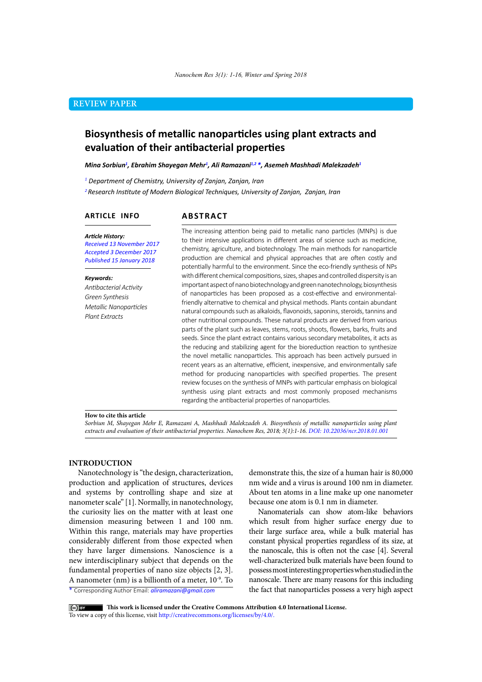# **REVIEW PAPER**

# **Biosynthesis of metallic nanoparticles using plant extracts and evaluation of their antibacterial properties**

*Mina Sorbiun1 , Ebrahim Shayegan Mehr1 , Ali Ramazani1,2 \*, Asemeh Mashhadi Malekzadeh1*

*1 Department of Chemistry, University of Zanjan, Zanjan, Iran*

*<sup>2</sup>Research Institute of Modern Biological Techniques, University of Zanjan, Zanjan, Iran*

# **ARTICLE INFO**

# **ABSTRACT**

*Article History: Received 13 November 2017 Accepted 3 December 2017 Published 15 January 2018*

#### *Keywords:*

*Antibacterial Activity Green Synthesis Metallic Nanoparticles Plant Extracts* 

The increasing attention being paid to metallic nano particles (MNPs) is due to their intensive applications in different areas of science such as medicine, chemistry, agriculture, and biotechnology. The main methods for nanoparticle production are chemical and physical approaches that are often costly and potentially harmful to the environment. Since the eco-friendly synthesis of NPs with different chemical compositions, sizes, shapes and controlled dispersity is an important aspect of nano biotechnology and green nanotechnology, biosynthesis of nanoparticles has been proposed as a cost-effective and environmentalfriendly alternative to chemical and physical methods. Plants contain abundant natural compounds such as alkaloids, flavonoids, saponins, steroids, tannins and other nutritional compounds. These natural products are derived from various parts of the plant such as leaves, stems, roots, shoots, flowers, barks, fruits and seeds. Since the plant extract contains various secondary metabolites, it acts as the reducing and stabilizing agent for the bioreduction reaction to synthesize the novel metallic nanoparticles. This approach has been actively pursued in recent years as an alternative, efficient, inexpensive, and environmentally safe method for producing nanoparticles with specified properties. The present review focuses on the synthesis of MNPs with particular emphasis on biological synthesis using plant extracts and most commonly proposed mechanisms regarding the antibacterial properties of nanoparticles.

#### **How to cite this article**

*Sorbiun M, Shayegan Mehr E, Ramazani A, Mashhadi Malekzadeh A. Biosynthesis of metallic nanoparticles using plant extracts and evaluation of their antibacterial properties. Nanochem Res, 2018; 3(1):1-16. DOI: 10.22036/ncr.2018.01.001*

### **INTRODUCTION**

Nanotechnology is "the design, characterization, production and application of structures, devices and systems by controlling shape and size at nanometer scale" [1]. Normally, in nanotechnology, the curiosity lies on the matter with at least one dimension measuring between 1 and 100 nm. Within this range, materials may have properties considerably different from those expected when they have larger dimensions. Nanoscience is a new interdisciplinary subject that depends on the fundamental properties of nano size objects [2, 3]. A nanometer (nm) is a billionth of a meter,  $10^{-9}$ . To

nm wide and a virus is around 100 nm in diameter. About ten atoms in a line make up one nanometer because one atom is 0.1 nm in diameter.

demonstrate this, the size of a human hair is 80,000

Nanomaterials can show atom-like behaviors which result from higher surface energy due to their large surface area, while a bulk material has constant physical properties regardless of its size, at the nanoscale, this is often not the case [4]. Several well-characterized bulk materials have been found to possess most interesting properties when studied in the nanoscale. There are many reasons for this including the fact that nanoparticles possess a very high aspect

\* Corresponding Author Email: *aliramazani@gmail.com*

 **This work is licensed under the Creative Commons Attribution 4.0 International License.** To view a copy of this license, visit [http://creativecommons.org/licenses/by/4.0/.](http://creativecommons.org/licenses/by/4.0/)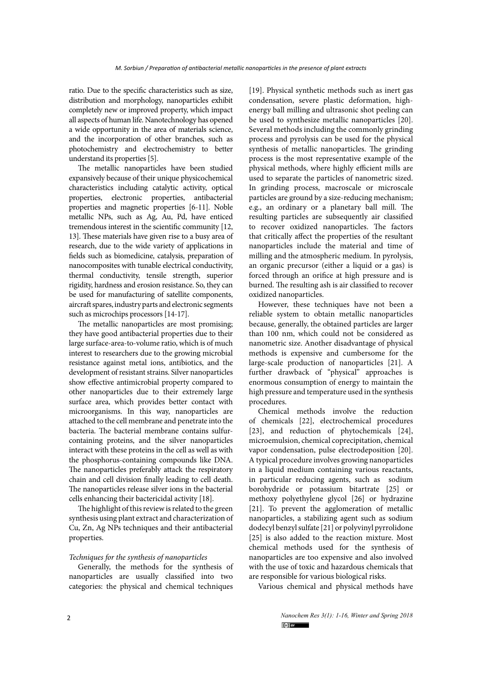ratio. Due to the specific characteristics such as size, distribution and morphology, nanoparticles exhibit completely new or improved property, which impact all aspects of human life. Nanotechnology has opened a wide opportunity in the area of materials science, and the incorporation of other branches, such as photochemistry and electrochemistry to better understand its properties [5].

The metallic nanoparticles have been studied expansively because of their unique physicochemical characteristics including catalytic activity, optical properties, electronic properties, antibacterial properties and magnetic properties [6-11]. Noble metallic NPs, such as Ag, Au, Pd, have enticed tremendous interest in the scientific community [12, 13]. These materials have given rise to a busy area of research, due to the wide variety of applications in fields such as biomedicine, catalysis, preparation of nanocomposites with tunable electrical conductivity, thermal conductivity, tensile strength, superior rigidity, hardness and erosion resistance. So, they can be used for manufacturing of satellite components, aircraft spares, industry parts and electronic segments such as microchips processors [14-17].

The metallic nanoparticles are most promising; they have good antibacterial properties due to their large surface-area-to-volume ratio, which is of much interest to researchers due to the growing microbial resistance against metal ions, antibiotics, and the development of resistant strains. Silver nanoparticles show effective antimicrobial property compared to other nanoparticles due to their extremely large surface area, which provides better contact with microorganisms. In this way, nanoparticles are attached to the cell membrane and penetrate into the bacteria. The bacterial membrane contains sulfurcontaining proteins, and the silver nanoparticles interact with these proteins in the cell as well as with the phosphorus-containing compounds like DNA. The nanoparticles preferably attack the respiratory chain and cell division finally leading to cell death. The nanoparticles release silver ions in the bacterial cells enhancing their bactericidal activity [18].

The highlight of this review is related to the green synthesis using plant extract and characterization of Cu, Zn, Ag NPs techniques and their antibacterial properties.

# *Techniques for the synthesis of nanoparticles*

Generally, the methods for the synthesis of nanoparticles are usually classified into two categories: the physical and chemical techniques

[19]. Physical synthetic methods such as inert gas condensation, severe plastic deformation, highenergy ball milling and ultrasonic shot peeling can be used to synthesize metallic nanoparticles [20]. Several methods including the commonly grinding process and pyrolysis can be used for the physical synthesis of metallic nanoparticles. The grinding process is the most representative example of the physical methods, where highly efficient mills are used to separate the particles of nanometric sized. In grinding process, macroscale or microscale particles are ground by a size-reducing mechanism; e.g., an ordinary or a planetary ball mill. The resulting particles are subsequently air classified to recover oxidized nanoparticles. The factors that critically affect the properties of the resultant nanoparticles include the material and time of milling and the atmospheric medium. In pyrolysis, an organic precursor (either a liquid or a gas) is forced through an orifice at high pressure and is burned. The resulting ash is air classified to recover oxidized nanoparticles.

However, these techniques have not been a reliable system to obtain metallic nanoparticles because, generally, the obtained particles are larger than 100 nm, which could not be considered as nanometric size. Another disadvantage of physical methods is expensive and cumbersome for the large-scale production of nanoparticles [21]. A further drawback of "physical" approaches is enormous consumption of energy to maintain the high pressure and temperature used in the synthesis procedures.

Chemical methods involve the reduction of chemicals [22], electrochemical procedures [23], and reduction of phytochemicals [24], microemulsion, chemical coprecipitation, chemical vapor condensation, pulse electrodeposition [20]. A typical procedure involves growing nanoparticles in a liquid medium containing various reactants, in particular reducing agents, such as sodium borohydride or potassium bitartrate [25] or methoxy polyethylene glycol [26] or hydrazine [21]. To prevent the agglomeration of metallic nanoparticles, a stabilizing agent such as sodium dodecyl benzyl sulfate [21] or polyvinyl pyrrolidone [25] is also added to the reaction mixture. Most chemical methods used for the synthesis of nanoparticles are too expensive and also involved with the use of toxic and hazardous chemicals that are responsible for various biological risks.

Various chemical and physical methods have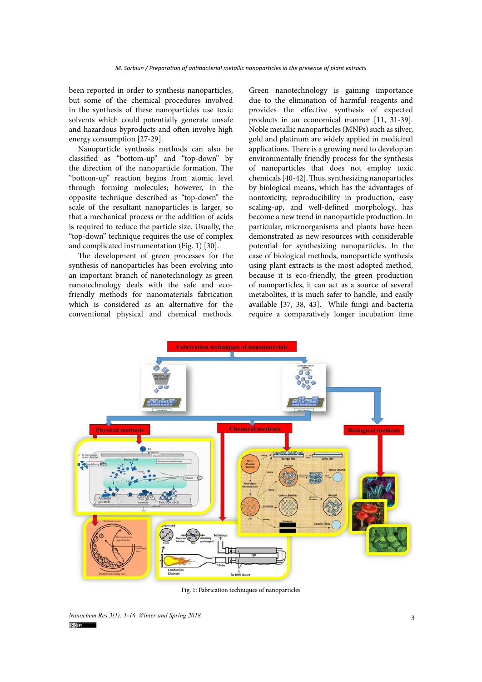been reported in order to synthesis nanoparticles, but some of the chemical procedures involved in the synthesis of these nanoparticles use toxic solvents which could potentially generate unsafe and hazardous byproducts and often involve high energy consumption [27-29].

Nanoparticle synthesis methods can also be classified as "bottom-up" and "top-down" by the direction of the nanoparticle formation. The "bottom-up" reaction begins from atomic level through forming molecules; however, in the opposite technique described as "top-down" the scale of the resultant nanoparticles is larger, so that a mechanical process or the addition of acids is required to reduce the particle size. Usually, the "top-down" technique requires the use of complex and complicated instrumentation (Fig. 1) [30].

The development of green processes for the synthesis of nanoparticles has been evolving into an important branch of nanotechnology as green nanotechnology deals with the safe and ecofriendly methods for nanomaterials fabrication which is considered as an alternative for the conventional physical and chemical methods.

Green nanotechnology is gaining importance due to the elimination of harmful reagents and provides the effective synthesis of expected products in an economical manner [11, 31-39]. Noble metallic nanoparticles (MNPs) such as silver, gold and platinum are widely applied in medicinal applications. There is a growing need to develop an environmentally friendly process for the synthesis of nanoparticles that does not employ toxic chemicals [40-42]. Thus, synthesizing nanoparticles by biological means, which has the advantages of nontoxicity, reproducibility in production, easy scaling-up, and well-defined morphology, has become a new trend in nanoparticle production. In particular, microorganisms and plants have been demonstrated as new resources with considerable potential for synthesizing nanoparticles. In the case of biological methods, nanoparticle synthesis using plant extracts is the most adopted method, because it is eco-friendly, the green production of nanoparticles, it can act as a source of several metabolites, it is much safer to handle, and easily available [37, 38, 43]. While fungi and bacteria require a comparatively longer incubation time



Fig. 1: Fabrication techniques of nanoparticles

3 *Nanochem Res 3(1): 1-16, Winter and Spring 2018*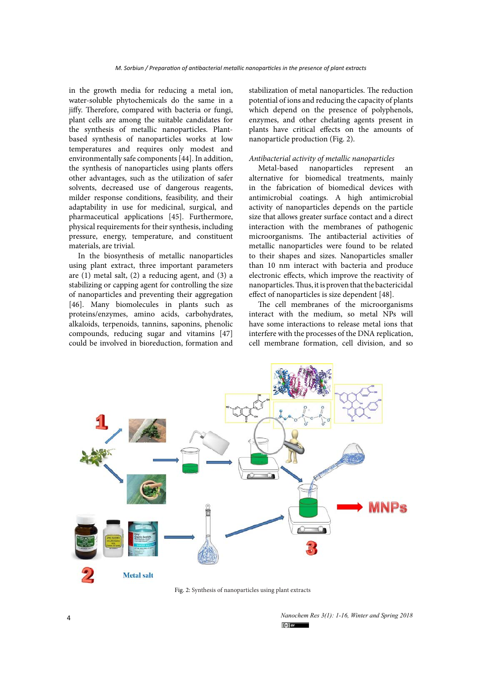in the growth media for reducing a metal ion, water-soluble phytochemicals do the same in a jiffy. Therefore, compared with bacteria or fungi, plant cells are among the suitable candidates for the synthesis of metallic nanoparticles. Plantbased synthesis of nanoparticles works at low temperatures and requires only modest and environmentally safe components [44]. In addition, the synthesis of nanoparticles using plants offers other advantages, such as the utilization of safer solvents, decreased use of dangerous reagents, milder response conditions, feasibility, and their adaptability in use for medicinal, surgical, and pharmaceutical applications [45]. Furthermore, physical requirements for their synthesis, including pressure, energy, temperature, and constituent materials, are trivial.

In the biosynthesis of metallic nanoparticles using plant extract, three important parameters are (1) metal salt, (2) a reducing agent, and (3) a stabilizing or capping agent for controlling the size of nanoparticles and preventing their aggregation [46]. Many biomolecules in plants such as proteins/enzymes, amino acids, carbohydrates, alkaloids, terpenoids, tannins, saponins, phenolic compounds, reducing sugar and vitamins [47] could be involved in bioreduction, formation and

stabilization of metal nanoparticles. The reduction potential of ions and reducing the capacity of plants which depend on the presence of polyphenols, enzymes, and other chelating agents present in plants have critical effects on the amounts of nanoparticle production (Fig. 2).

# *Antibacterial activity of metallic nanoparticles*

Metal-based nanoparticles represent an alternative for biomedical treatments, mainly in the fabrication of biomedical devices with antimicrobial coatings. A high antimicrobial activity of nanoparticles depends on the particle size that allows greater surface contact and a direct interaction with the membranes of pathogenic microorganisms. The antibacterial activities of metallic nanoparticles were found to be related to their shapes and sizes. Nanoparticles smaller than 10 nm interact with bacteria and produce electronic effects, which improve the reactivity of nanoparticles. Thus, it is proven that the bactericidal effect of nanoparticles is size dependent [48].

The cell membranes of the microorganisms interact with the medium, so metal NPs will have some interactions to release metal ions that interfere with the processes of the DNA replication, cell membrane formation, cell division, and so



*Nanochem Res 3(1): 1-16, Winter and Spring 2018*  $(c)$  BY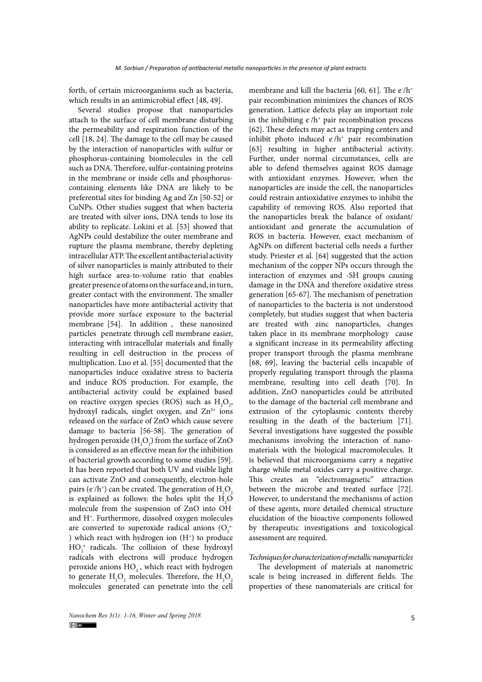forth, of certain microorganisms such as bacteria, which results in an antimicrobial effect [48, 49].

Several studies propose that nanoparticles attach to the surface of cell membrane disturbing the permeability and respiration function of the cell [18, 24]. The damage to the cell may be caused by the interaction of nanoparticles with sulfur or phosphorus-containing biomolecules in the cell such as DNA. Therefore, sulfur-containing proteins in the membrane or inside cells and phosphoruscontaining elements like DNA are likely to be preferential sites for binding Ag and Zn [50-52] or CuNPs. Other studies suggest that when bacteria are treated with silver ions, DNA tends to lose its ability to replicate. Lokini et al. [53] showed that AgNPs could destabilize the outer membrane and rupture the plasma membrane, thereby depleting intracellular ATP. The excellent antibacterial activity of silver nanoparticles is mainly attributed to their high surface area-to-volume ratio that enables greater presence of atoms on the surface and, in turn, greater contact with the environment. The smaller nanoparticles have more antibacterial activity that provide more surface exposure to the bacterial membrane [54]. In addition , these nanosized particles penetrate through cell membrane easier, interacting with intracellular materials and finally resulting in cell destruction in the process of multiplication. Luo et al. [55] documented that the nanoparticles induce oxidative stress to bacteria and induce ROS production. For example, the antibacterial activity could be explained based on reactive oxygen species (ROS) such as  $H_2O_2$ , hydroxyl radicals, singlet oxygen, and  $Zn^{2+}$  ions released on the surface of ZnO which cause severe damage to bacteria [56-58]. The generation of hydrogen peroxide  $(\mathrm{H}_{2}\mathrm{O}_{2})$  from the surface of ZnO is considered as an effective mean for the inhibition of bacterial growth according to some studies [59]. It has been reported that both UV and visible light can activate ZnO and consequently, electron-hole pairs (e $/h$ <sup>+</sup>) can be created. The generation of  $\mathrm{H}_{2}\mathrm{O}_{2}$ is explained as follows: the holes split the  $H_2O$ molecule from the suspension of ZnO into OHand H+. Furthermore, dissolved oxygen molecules are converted to superoxide radical anions  $(O_2^{\bullet}$ ) which react with hydrogen ion  $(H<sup>+</sup>)$  to produce HO<sub>2</sub> radicals. The collision of these hydroxyl radicals with electrons will produce hydrogen peroxide anions  $HO_2$ , which react with hydrogen to generate  $\mathrm{H}_{2}\mathrm{O}_{2}$  molecules. Therefore, the  $\mathrm{H}_{2}\mathrm{O}_{2}$ molecules generated can penetrate into the cell

membrane and kill the bacteria [60, 61]. The  $e/h^+$ pair recombination minimizes the chances of ROS generation. Lattice defects play an important role in the inhibiting  $e/h^+$  pair recombination process [62]. These defects may act as trapping centers and inhibit photo induced  $e/h^+$  pair recombination [63] resulting in higher antibacterial activity. Further, under normal circumstances, cells are able to defend themselves against ROS damage with antioxidant enzymes. However, when the nanoparticles are inside the cell, the nanoparticles could restrain antioxidative enzymes to inhibit the capability of removing ROS. Also reported that the nanoparticles break the balance of oxidant/ antioxidant and generate the accumulation of ROS in bacteria. However, exact mechanism of AgNPs on different bacterial cells needs a further study. Priester et al. [64] suggested that the action mechanism of the copper NPs occurs through the interaction of enzymes and -SH groups causing damage in the DNA and therefore oxidative stress generation [65-67]. The mechanism of penetration of nanoparticles to the bacteria is not understood completely, but studies suggest that when bacteria are treated with zinc nanoparticles, changes taken place in its membrane morphology cause a significant increase in its permeability affecting proper transport through the plasma membrane [68, 69], leaving the bacterial cells incapable of properly regulating transport through the plasma membrane, resulting into cell death [70]. In addition, ZnO nanoparticles could be attributed to the damage of the bacterial cell membrane and extrusion of the cytoplasmic contents thereby resulting in the death of the bacterium [71]. Several investigations have suggested the possible mechanisms involving the interaction of nanomaterials with the biological macromolecules. It is believed that microorganisms carry a negative charge while metal oxides carry a positive charge. This creates an "electromagnetic" attraction between the microbe and treated surface [72]. However, to understand the mechanisms of action of these agents, more detailed chemical structure elucidation of the bioactive components followed by therapeutic investigations and toxicological assessment are required.

### *Techniques for characterization of metallic nanoparticles*

The development of materials at nanometric scale is being increased in different fields. The properties of these nanomaterials are critical for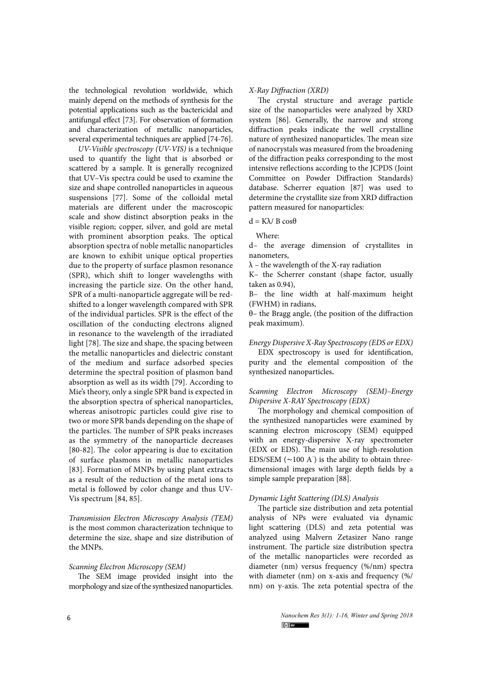the technological revolution worldwide, which mainly depend on the methods of synthesis for the potential applications such as the bactericidal and antifungal effect [73]. For observation of formation and characterization of metallic nanoparticles, several experimental techniques are applied [74-76].

*UV-Visible spectroscopy (UV-VIS)* is a technique used to quantify the light that is absorbed or scattered by a sample. It is generally recognized that UV–Vis spectra could be used to examine the size and shape controlled nanoparticles in aqueous suspensions [77]. Some of the colloidal metal materials are different under the macroscopic scale and show distinct absorption peaks in the visible region; copper, silver, and gold are metal with prominent absorption peaks. The optical absorption spectra of noble metallic nanoparticles are known to exhibit unique optical properties due to the property of surface plasmon resonance (SPR), which shift to longer wavelengths with increasing the particle size. On the other hand, SPR of a multi-nanoparticle aggregate will be redshifted to a longer wavelength compared with SPR of the individual particles. SPR is the effect of the oscillation of the conducting electrons aligned in resonance to the wavelength of the irradiated light [78]. The size and shape, the spacing between the metallic nanoparticles and dielectric constant of the medium and surface adsorbed species determine the spectral position of plasmon band absorption as well as its width [79]. According to Mie's theory, only a single SPR band is expected in the absorption spectra of spherical nanoparticles, whereas anisotropic particles could give rise to two or more SPR bands depending on the shape of the particles. The number of SPR peaks increases as the symmetry of the nanoparticle decreases [80-82]. The color appearing is due to excitation of surface plasmons in metallic nanoparticles [83]. Formation of MNPs by using plant extracts as a result of the reduction of the metal ions to metal is followed by color change and thus UV-Vis spectrum [84, 85].

*Transmission Electron Microscopy Analysis (TEM)* is the most common characterization technique to determine the size, shape and size distribution of the MNPs.

#### *Scanning Electron Microscopy (SEM)*

The SEM image provided insight into the morphology and size of the synthesized nanoparticles.

### *X-Ray Diffraction (XRD)*

The crystal structure and average particle size of the nanoparticles were analyzed by XRD system [86]. Generally, the narrow and strong diffraction peaks indicate the well crystalline nature of synthesized nanoparticles. The mean size of nanocrystals was measured from the broadening of the diffraction peaks corresponding to the most intensive reflections according to the JCPDS (Joint Committee on Powder Diffraction Standards) database. Scherrer equation [87] was used to determine the crystallite size from XRD diffraction pattern measured for nanoparticles:

# $d = Kλ / B cosθ$

Where:

d– the average dimension of crystallites in nanometers,

 $\lambda$  – the wavelength of the X-ray radiation

K– the Scherrer constant (shape factor, usually taken as 0.94),

B– the line width at half-maximum height (FWHM) in radians,

θ– the Bragg angle, (the position of the diffraction peak maximum).

#### *Energy Dispersive X-Ray Spectroscopy (EDS or EDX)*

EDX spectroscopy is used for identification, purity and the elemental composition of the synthesized nanoparticles**.**

# *Scanning Electron Microscopy (SEM)–Energy Dispersive X-RAY Spectroscopy (EDX)*

The morphology and chemical composition of the synthesized nanoparticles were examined by scanning electron microscopy (SEM) equipped with an energy-dispersive X-ray spectrometer (EDX or EDS). The main use of high-resolution EDS/SEM (∼100 A˚ ) is the ability to obtain threedimensional images with large depth fields by a simple sample preparation [88].

### *Dynamic Light Scattering (DLS) Analysis*

The particle size distribution and zeta potential analysis of NPs were evaluated via dynamic light scattering (DLS) and zeta potential was analyzed using Malvern Zetasizer Nano range instrument. The particle size distribution spectra of the metallic nanoparticles were recorded as diameter (nm) versus frequency (%/nm) spectra with diameter (nm) on x-axis and frequency (%/ nm) on y-axis. The zeta potential spectra of the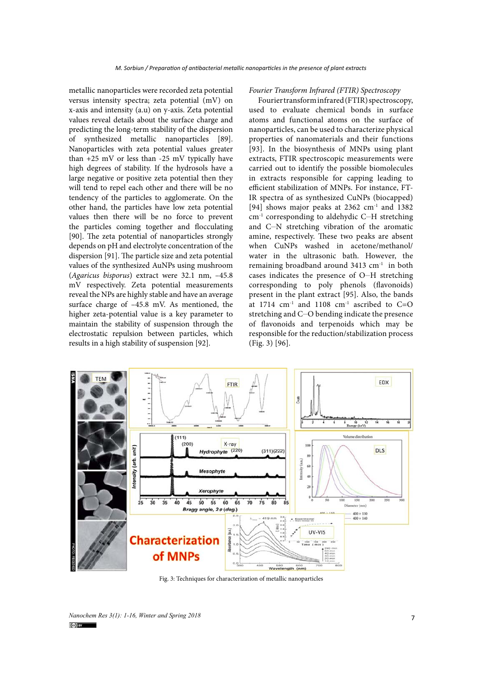metallic nanoparticles were recorded zeta potential versus intensity spectra; zeta potential (mV) on x-axis and intensity (a.u) on y-axis. Zeta potential values reveal details about the surface charge and predicting the long-term stability of the dispersion of synthesized metallic nanoparticles [89]. Nanoparticles with zeta potential values greater than  $+25$  mV or less than  $-25$  mV typically have high degrees of stability. If the hydrosols have a large negative or positive zeta potential then they will tend to repel each other and there will be no tendency of the particles to agglomerate. On the other hand, the particles have low zeta potential values then there will be no force to prevent the particles coming together and flocculating [90]. The zeta potential of nanoparticles strongly depends on pH and electrolyte concentration of the dispersion [91]. The particle size and zeta potential values of the synthesized AuNPs using mushroom (*Agaricus bisporus*) extract were 32.1 nm, –45.8 mV respectively. Zeta potential measurements reveal the NPs are highly stable and have an average surface charge of –45.8 mV. As mentioned, the higher zeta-potential value is a key parameter to maintain the stability of suspension through the electrostatic repulsion between particles, which results in a high stability of suspension [92].

#### *Fourier Transform Infrared (FTIR) Spectroscopy*

Fourier transform infrared (FTIR) spectroscopy, used to evaluate chemical bonds in surface atoms and functional atoms on the surface of nanoparticles, can be used to characterize physical properties of nanomaterials and their functions [93]. In the biosynthesis of MNPs using plant extracts, FTIR spectroscopic measurements were carried out to identify the possible biomolecules in extracts responsible for capping leading to efficient stabilization of MNPs. For instance, FT-IR spectra of as synthesized CuNPs (biocapped) [94] shows major peaks at  $2362 \text{ cm}^{-1}$  and  $1382$ cm<sup>-1</sup> corresponding to aldehydic C-H stretching and C-N stretching vibration of the aromatic amine, respectively. These two peaks are absent when CuNPs washed in acetone/methanol/ water in the ultrasonic bath. However, the remaining broadband around 3413 cm-1 in both cases indicates the presence of O-H stretching corresponding to poly phenols (flavonoids) present in the plant extract [95]. Also, the bands at 1714  $cm^{-1}$  and 1108  $cm^{-1}$  ascribed to C=O stretching and C-O bending indicate the presence of flavonoids and terpenoids which may be responsible for the reduction/stabilization process (Fig. 3) [96].



Fig. 3: Techniques for characterization of metallic nanoparticles

<sup>7</sup> *Nanochem Res 3(1): 1-16, Winter and Spring 2018*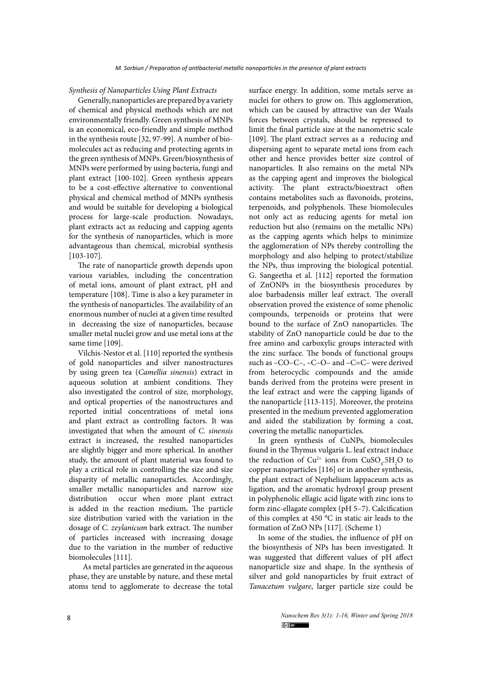#### *Synthesis of Nanoparticles Using Plant Extracts*

Generally, nanoparticles are prepared by a variety of chemical and physical methods which are not environmentally friendly. Green synthesis of MNPs is an economical, eco-friendly and simple method in the synthesis route [32, 97-99]. A number of biomolecules act as reducing and protecting agents in the green synthesis of MNPs. Green/biosynthesis of MNPs were performed by using bacteria, fungi and plant extract [100-102]. Green synthesis appears to be a cost-effective alternative to conventional physical and chemical method of MNPs synthesis and would be suitable for developing a biological process for large-scale production. Nowadays, plant extracts act as reducing and capping agents for the synthesis of nanoparticles, which is more advantageous than chemical, microbial synthesis [103-107].

The rate of nanoparticle growth depends upon various variables, including the concentration of metal ions, amount of plant extract, pH and temperature [108]. Time is also a key parameter in the synthesis of nanoparticles. The availability of an enormous number of nuclei at a given time resulted in decreasing the size of nanoparticles, because smaller metal nuclei grow and use metal ions at the same time [109].

Vilchis-Nestor et al. [110] reported the synthesis of gold nanoparticles and silver nanostructures by using green tea (*Camellia sinensis*) extract in aqueous solution at ambient conditions. They also investigated the control of size, morphology, and optical properties of the nanostructures and reported initial concentrations of metal ions and plant extract as controlling factors. It was investigated that when the amount of *C. sinensis*  extract is increased, the resulted nanoparticles are slightly bigger and more spherical. In another study, the amount of plant material was found to play a critical role in controlling the size and size disparity of metallic nanoparticles. Accordingly, smaller metallic nanoparticles and narrow size distribution occur when more plant extract is added in the reaction medium**.** The particle size distribution varied with the variation in the dosage of *C. zeylanicum* bark extract. The number of particles increased with increasing dosage due to the variation in the number of reductive biomolecules [111].

 As metal particles are generated in the aqueous phase, they are unstable by nature, and these metal atoms tend to agglomerate to decrease the total surface energy. In addition, some metals serve as nuclei for others to grow on. This agglomeration, which can be caused by attractive van der Waals forces between crystals, should be repressed to limit the final particle size at the nanometric scale [109]. The plant extract serves as a reducing and dispersing agent to separate metal ions from each other and hence provides better size control of nanoparticles. It also remains on the metal NPs as the capping agent and improves the biological activity. The plant extracts/bioextract often contains metabolites such as flavonoids, proteins, terpenoids, and polyphenols. These biomolecules not only act as reducing agents for metal ion reduction but also (remains on the metallic NPs) as the capping agents which helps to minimize the agglomeration of NPs thereby controlling the morphology and also helping to protect/stabilize the NPs, thus improving the biological potential. G. Sangeetha et al. [112] reported the formation of ZnONPs in the biosynthesis procedures by aloe barbadensis miller leaf extract. The overall observation proved the existence of some phenolic compounds, terpenoids or proteins that were bound to the surface of ZnO nanoparticles. The stability of ZnO nanoparticle could be due to the free amino and carboxylic groups interacted with the zinc surface. The bonds of functional groups such as –CO–C–, –C–O– and –C=C– were derived from heterocyclic compounds and the amide bands derived from the proteins were present in the leaf extract and were the capping ligands of the nanoparticle [113-115]. Moreover, the proteins presented in the medium prevented agglomeration and aided the stabilization by forming a coat, covering the metallic nanoparticles.

In green synthesis of CuNPs, biomolecules found in the Thymus vulgaris L. leaf extract induce the reduction of  $Cu^{2+}$  ions from  $CuSO_{4}$ .5H<sub>2</sub>O to copper nanoparticles [116] or in another synthesis, the plant extract of Nephelium lappaceum acts as ligation, and the aromatic hydroxyl group present in polyphenolic ellagic acid ligate with zinc ions to form zinc-ellagate complex (pH 5–7). Calcification of this complex at 450 °C in static air leads to the formation of ZnO NPs [117]. (Scheme 1)

In some of the studies, the influence of pH on the biosynthesis of NPs has been investigated. It was suggested that different values of pH affect nanoparticle size and shape. In the synthesis of silver and gold nanoparticles by fruit extract of *Tanacetum vulgare*, larger particle size could be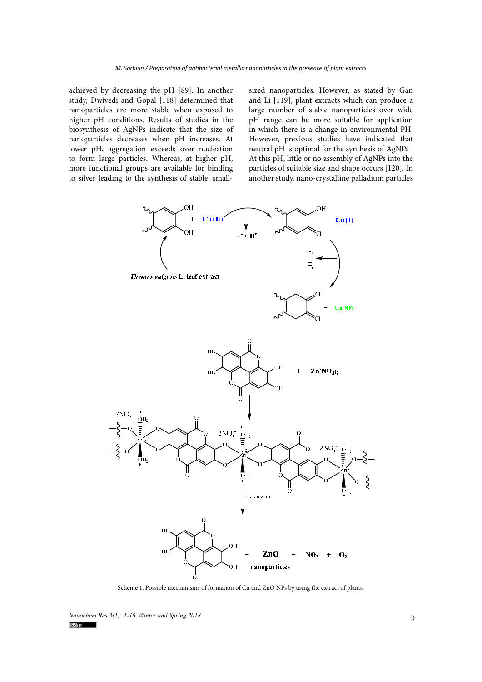achieved by decreasing the pH [89]. In another study, Dwivedi and Gopal [118] determined that nanoparticles are more stable when exposed to higher pH conditions. Results of studies in the biosynthesis of AgNPs indicate that the size of nanoparticles decreases when pH increases. At lower pH, aggregation exceeds over nucleation to form large particles. Whereas, at higher pH, more functional groups are available for binding to silver leading to the synthesis of stable, smallsized nanoparticles. However, as stated by Gan and Li [119], plant extracts which can produce a large number of stable nanoparticles over wide pH range can be more suitable for application in which there is a change in environmental PH. However, previous studies have indicated that neutral pH is optimal for the synthesis of AgNPs . At this pH, little or no assembly of AgNPs into the particles of suitable size and shape occurs [120]. In another study, nano-crystalline palladium particles



Scheme 1. Possible mechanisms of formation of Cu and ZnO NPs by using the extract of plants.

*Nanochem Res 3(1): 1-16, Winter and Spring 2018*<br> **19.**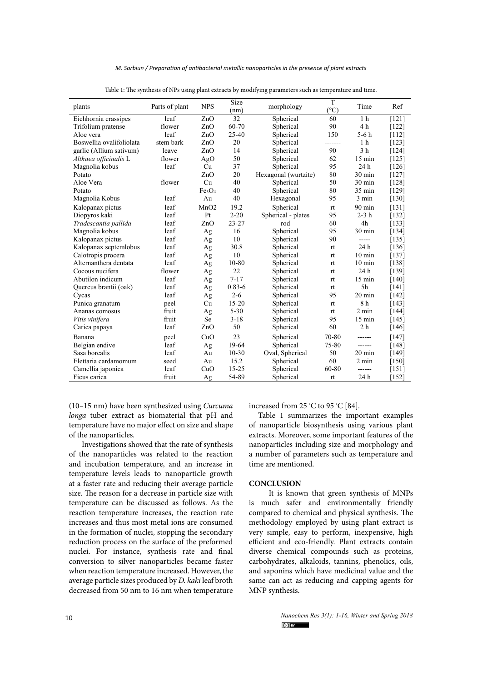| plants                   | Parts of plant | <b>NPS</b>                     | Size<br>(nm) | morphology           | T<br>(°C) | Time             | Ref     |
|--------------------------|----------------|--------------------------------|--------------|----------------------|-----------|------------------|---------|
| Eichhornia crassipes     | leaf           | ZnO                            | 32           | Spherical            | 60        | 1 <sub>h</sub>   | [121]   |
| Trifolium pratense       | flower         | ZnO                            | 60-70        | Spherical            | 90        | 4 h              | $[122]$ |
| Aloe vera                | leaf           | ZnO                            | $25 - 40$    | Spherical            | 150       | $5-6h$           | [112]   |
| Boswellia ovalifoliolata | stem bark      | ZnO                            | 20           | Spherical            | -------   | 1 <sub>h</sub>   | [123]   |
| garlic (Allium sativum)  | leave          | ZnO                            | 14           | Spherical            | 90        | 3 <sub>h</sub>   | [124]   |
| Althaea officinalis L    | flower         | AgO                            | 50           | Spherical            | 62        | $15 \text{ min}$ | $[125]$ |
| Magnolia kobus           | leaf           | Cu                             | 37           | Spherical            | 95        | 24 h             | [126]   |
| Potato                   |                | ZnO                            | 20           | Hexagonal (wurtzite) | 80        | $30 \text{ min}$ | [127]   |
| Aloe Vera                | flower         | Cu                             | 40           | Spherical            | 50        | 30 min           | [128]   |
| Potato                   |                | Fe <sub>3</sub> O <sub>4</sub> | 40           | Spherical            | 80        | $35 \text{ min}$ | [129]   |
| Magnolia Kobus           | leaf           | Au                             | 40           | Hexagonal            | 95        | 3 min            | [130]   |
| Kalopanax pictus         | leaf           | MnO2                           | 19.2         | Spherical            | rt        | 90 min           | [131]   |
| Diopyros kaki            | leaf           | Pt                             | $2 - 20$     | Spherical - plates   | 95        | $2-3h$           | $[132]$ |
| Tradescantia pallida     | leaf           | ZnO                            | $23 - 27$    | rod                  | 60        | 4h               | [133]   |
| Magnolia kobus           | leaf           | Ag                             | 16           | Spherical            | 95        | $30 \text{ min}$ | [134]   |
| Kalopanax pictus         | leaf           | Ag                             | 10           | Spherical            | 90        | -----            | [135]   |
| Kalopanax septemlobus    | leaf           | Ag                             | 30.8         | Spherical            | rt        | 24 h             | [136]   |
| Calotropis procera       | leaf           | Ag                             | 10           | Spherical            | rt        | $10 \text{ min}$ | [137]   |
| Alternanthera dentata    | leaf           | Ag                             | 10-80        | Spherical            | rt        | $10 \text{ min}$ | [138]   |
| Cocous nucifera          | flower         | Ag                             | 22           | Spherical            | rt        | 24 h             | [139]   |
| Abutilon indicum         | leaf           | Ag                             | $7 - 17$     | Spherical            | rt        | $15 \text{ min}$ | $[140]$ |
| Quercus brantii (oak)    | leaf           | Ag                             | $0.83 - 6$   | Spherical            | rt        | 5 <sub>h</sub>   | [141]   |
| Cycas                    | leaf           | Ag                             | $2 - 6$      | Spherical            | 95        | 20 min           | $[142]$ |
| Punica granatum          | peel           | Cu                             | $15 - 20$    | Spherical            | rt        | 8h               | [143]   |
| Ananas comosus           | fruit          | Ag                             | $5 - 30$     | Spherical            | rt        | $2 \text{ min}$  | $[144]$ |
| Vitis vinifera           | fruit          | Se                             | $3 - 18$     | Spherical            | 95        | $15 \text{ min}$ | [145]   |
| Carica papaya            | leaf           | ZnO                            | 50           | Spherical            | 60        | 2 <sub>h</sub>   | [146]   |
| Banana                   | peel           | CuO                            | 23           | Spherical            | 70-80     | ------           | $[147]$ |
| Belgian endive           | leaf           | Ag                             | 19-64        | Spherical            | 75-80     | ------           | [148]   |
| Sasa borealis            | leaf           | Au                             | $10 - 30$    | Oval, Spherical      | 50        | 20 min           | [149]   |
| Elettaria cardamomum     | seed           | Au                             | 15.2         | Spherical            | 60        | 2 min            | $[150]$ |
| Camellia japonica        | leaf           | CuO                            | $15 - 25$    | Spherical            | 60-80     | ------           | $[151]$ |
| Ficus carica             | fruit          | Ag                             | 54-89        | Spherical            | rt        | 24 h             | [152]   |

|  |  | Table 1: The synthesis of NPs using plant extracts by modifying parameters such as temperature and time. |  |
|--|--|----------------------------------------------------------------------------------------------------------|--|
|  |  |                                                                                                          |  |

(10–15 nm) have been synthesized using *Curcuma longa* tuber extract as biomaterial that pH and temperature have no major effect on size and shape of the nanoparticles.

 Investigations showed that the rate of synthesis of the nanoparticles was related to the reaction and incubation temperature, and an increase in temperature levels leads to nanoparticle growth at a faster rate and reducing their average particle size. The reason for a decrease in particle size with temperature can be discussed as follows. As the reaction temperature increases, the reaction rate increases and thus most metal ions are consumed in the formation of nuclei, stopping the secondary reduction process on the surface of the preformed nuclei. For instance, synthesis rate and final conversion to silver nanoparticles became faster when reaction temperature increased. However, the average particle sizes produced by *D. kaki* leaf broth decreased from 50 nm to 16 nm when temperature

increased from 25 *◦* C to 95 *◦* C [84].

Table 1 summarizes the important examples of nanoparticle biosynthesis using various plant extracts. Moreover, some important features of the nanoparticles including size and morphology and a number of parameters such as temperature and time are mentioned.

# **CONCLUSION**

 It is known that green synthesis of MNPs is much safer and environmentally friendly compared to chemical and physical synthesis. The methodology employed by using plant extract is very simple, easy to perform, inexpensive, high efficient and eco-friendly. Plant extracts contain diverse chemical compounds such as proteins, carbohydrates, alkaloids, tannins, phenolics, oils, and saponins which have medicinal value and the same can act as reducing and capping agents for MNP synthesis.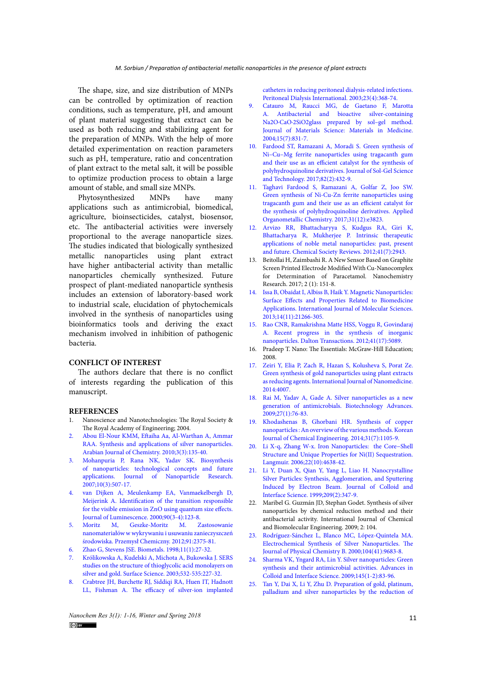The shape, size, and size distribution of MNPs can be controlled by optimization of reaction conditions, such as temperature, pH, and amount of plant material suggesting that extract can be used as both reducing and stabilizing agent for the preparation of MNPs. With the help of more detailed experimentation on reaction parameters such as pH, temperature, ratio and concentration of plant extract to the metal salt, it will be possible to optimize production process to obtain a large amount of stable, and small size MNPs.

Phytosynthesized MNPs have many applications such as antimicrobial, biomedical, agriculture, bioinsecticides, catalyst, biosensor, etc. The antibacterial activities were inversely proportional to the average nanoparticle sizes. The studies indicated that biologically synthesized metallic nanoparticles using plant extract have higher antibacterial activity than metallic nanoparticles chemically synthesized. Future prospect of plant-mediated nanoparticle synthesis includes an extension of laboratory-based work to industrial scale, elucidation of phytochemicals involved in the synthesis of nanoparticles using bioinformatics tools and deriving the exact mechanism involved in inhibition of pathogenic bacteria.

# **CONFLICT OF INTEREST**

The authors declare that there is no conflict of interests regarding the publication of this manuscript.

### **REFERENCES**

- 1. Nanoscience and Nanotechnologies: The Royal Society & The Royal Academy of Engineering; 2004.
- 2. [Abou El-Nour KMM, Eftaiha Aa, Al-Warthan A, Ammar](http://dx.doi.org/10.1016/j.arabjc.2010.04.008)  [RAA. Synthesis and applications of silver nanoparticles.](http://dx.doi.org/10.1016/j.arabjc.2010.04.008)  [Arabian Journal of Chemistry. 2010;3\(3\):135-40.](http://dx.doi.org/10.1016/j.arabjc.2010.04.008)
- 3. [Mohanpuria P, Rana NK, Yadav SK. Biosynthesis](http://dx.doi.org/10.1007/s11051-007-9275-x)  [of nanoparticles: technological concepts and future](http://dx.doi.org/10.1007/s11051-007-9275-x)  [applications. Journal of Nanoparticle Research.](http://dx.doi.org/10.1007/s11051-007-9275-x)  [2007;10\(3\):507-17.](http://dx.doi.org/10.1007/s11051-007-9275-x)
- 4. [van Dijken A, Meulenkamp EA, Vanmaekelbergh D,](http://dx.doi.org/10.1016/s0022-2313(99)00599-2)  [Meijerink A. Identification of the transition responsible](http://dx.doi.org/10.1016/s0022-2313(99)00599-2)  [for the visible emission in ZnO using quantum size effects.](http://dx.doi.org/10.1016/s0022-2313(99)00599-2)  [Journal of Luminescence. 2000;90\(3-4\):123-8.](http://dx.doi.org/10.1016/s0022-2313(99)00599-2)
- 5. [Moritz M, Geszke-Moritz M. Zastosowanie](http://yadda.icm.edu.pl/yadda/element/bwmeta1.element.baztech-8630368f-8922-41a6-ac13-9d7afa04302b)  [nanomateriałów w wykrywaniu i usuwaniu zanieczyszczeń](http://yadda.icm.edu.pl/yadda/element/bwmeta1.element.baztech-8630368f-8922-41a6-ac13-9d7afa04302b)  [środowiska. Przemysł Chemiczny. 2012;91:2375-81.](http://yadda.icm.edu.pl/yadda/element/bwmeta1.element.baztech-8630368f-8922-41a6-ac13-9d7afa04302b)
- 6. [Zhao G, Stevens JSE. Biometals. 1998;11\(1\):27-32.](http://dx.doi.org/10.1023/a:1009253223055)
- 7. [Królikowska A, Kudelski A, Michota A, Bukowska J. SERS](http://dx.doi.org/10.1016/s0039-6028(03)00094-3)  [studies on the structure of thioglycolic acid monolayers on](http://dx.doi.org/10.1016/s0039-6028(03)00094-3)  [silver and gold. Surface Science. 2003;532-535:227-32.](http://dx.doi.org/10.1016/s0039-6028(03)00094-3)
- 8. [Crabtree JH, Burchette RJ, Siddiqi RA, Huen IT, Hadnott](http://www.pdiconnect.com/content/23/4/368.short)  [LL, Fishman A. The efficacy of silver-ion implanted](http://www.pdiconnect.com/content/23/4/368.short)

[catheters in reducing peritoneal dialysis-related infections.](http://www.pdiconnect.com/content/23/4/368.short) [Peritoneal Dialysis International. 2003;23\(4\):368-74.](http://www.pdiconnect.com/content/23/4/368.short)

- 9. [Catauro M, Raucci MG, de Gaetano F, Marotta](http://dx.doi.org/10.1023/b:jmsm.0000032825.51052.00) [A. Antibacterial and bioactive silver-containing](http://dx.doi.org/10.1023/b:jmsm.0000032825.51052.00) [Na2O·CaO·2SiO2glass prepared by sol–gel method.](http://dx.doi.org/10.1023/b:jmsm.0000032825.51052.00) [Journal of Materials Science: Materials in Medicine.](http://dx.doi.org/10.1023/b:jmsm.0000032825.51052.00) [2004;15\(7\):831-7.](http://dx.doi.org/10.1023/b:jmsm.0000032825.51052.00)
- 10. [Fardood ST, Ramazani A, Moradi S. Green synthesis of](http://dx.doi.org/10.1007/s10971-017-4310-6) [Ni–Cu–Mg ferrite nanoparticles using tragacanth gum](http://dx.doi.org/10.1007/s10971-017-4310-6) [and their use as an efficient catalyst for the synthesis of](http://dx.doi.org/10.1007/s10971-017-4310-6) [polyhydroquinoline derivatives. Journal of Sol-Gel Science](http://dx.doi.org/10.1007/s10971-017-4310-6) [and Technology. 2017;82\(2\):432-9.](http://dx.doi.org/10.1007/s10971-017-4310-6)
- 11. [Taghavi Fardood S, Ramazani A, Golfar Z, Joo SW.](http://dx.doi.org/10.1002/aoc.3823) [Green synthesis of Ni-Cu-Zn ferrite nanoparticles using](http://dx.doi.org/10.1002/aoc.3823) [tragacanth gum and their use as an efficient catalyst for](http://dx.doi.org/10.1002/aoc.3823) [the synthesis of polyhydroquinoline derivatives. Applied](http://dx.doi.org/10.1002/aoc.3823) [Organometallic Chemistry. 2017;31\(12\):e3823.](http://dx.doi.org/10.1002/aoc.3823)
- 12. [Arvizo RR, Bhattacharyya S, Kudgus RA, Giri K,](http://dx.doi.org/10.1039/c2cs15355f) [Bhattacharya R, Mukherjee P. Intrinsic therapeutic](http://dx.doi.org/10.1039/c2cs15355f) [applications of noble metal nanoparticles: past, present](http://dx.doi.org/10.1039/c2cs15355f) [and future. Chemical Society Reviews. 2012;41\(7\):2943.](http://dx.doi.org/10.1039/c2cs15355f)
- 13. Beitollai H, Zaimbashi R. A New Sensor Based on Graphite Screen Printed Electrode Modified With Cu-Nanocomplex for Determination of Paracetamol. Nanochemistry Research. 2017; 2 (1): 151-8.
- 14. [Issa B, Obaidat I, Albiss B, Haik Y. Magnetic Nanoparticles:](http://dx.doi.org/10.3390/ijms141121266) [Surface Effects and Properties Related to Biomedicine](http://dx.doi.org/10.3390/ijms141121266) [Applications. International Journal of Molecular Sciences.](http://dx.doi.org/10.3390/ijms141121266) [2013;14\(11\):21266-305.](http://dx.doi.org/10.3390/ijms141121266)
- 15. [Rao CNR, Ramakrishna Matte HSS, Voggu R, Govindaraj](http://dx.doi.org/10.1039/c2dt12266a) [A. Recent progress in the synthesis of inorganic](http://dx.doi.org/10.1039/c2dt12266a) [nanoparticles. Dalton Transactions. 2012;41\(17\):5089.](http://dx.doi.org/10.1039/c2dt12266a)
- 16. Pradeep T. Nano: The Essentials: McGraw-Hill Education; 2008.
- 17. [Zeiri Y, Elia P, Zach R, Hazan S, Kolusheva S, Porat Ze.](http://dx.doi.org/10.2147/ijn.s57343) [Green synthesis of gold nanoparticles using plant extracts](http://dx.doi.org/10.2147/ijn.s57343) [as reducing agents. International Journal of Nanomedicine.](http://dx.doi.org/10.2147/ijn.s57343) [2014:4007.](http://dx.doi.org/10.2147/ijn.s57343)
- 18. [Rai M, Yadav A, Gade A. Silver nanoparticles as a new](http://dx.doi.org/10.1016/j.biotechadv.2008.09.002) [generation of antimicrobials. Biotechnology Advances.](http://dx.doi.org/10.1016/j.biotechadv.2008.09.002) [2009;27\(1\):76-83.](http://dx.doi.org/10.1016/j.biotechadv.2008.09.002)
- 19. [Khodashenas B, Ghorbani HR. Synthesis of copper](http://dx.doi.org/10.1007/s11814-014-0127-y) [nanoparticles : An overview of the various methods. Korean](http://dx.doi.org/10.1007/s11814-014-0127-y) [Journal of Chemical Engineering. 2014;31\(7\):1105-9.](http://dx.doi.org/10.1007/s11814-014-0127-y)
- 20. [Li X-q, Zhang W-x. Iron Nanoparticles: the Core−Shell](http://dx.doi.org/10.1021/la060057k) [Structure and Unique Properties for Ni\(II\) Sequestration.](http://dx.doi.org/10.1021/la060057k) [Langmuir. 2006;22\(10\):4638-42.](http://dx.doi.org/10.1021/la060057k)
- 21. [Li Y, Duan X, Qian Y, Yang L, Liao H. Nanocrystalline](http://dx.doi.org/10.1006/jcis.1998.5879) [Silver Particles: Synthesis, Agglomeration, and Sputtering](http://dx.doi.org/10.1006/jcis.1998.5879) [Induced by Electron Beam. Journal of Colloid and](http://dx.doi.org/10.1006/jcis.1998.5879) [Interface Science. 1999;209\(2\):347-9.](http://dx.doi.org/10.1006/jcis.1998.5879)
- 22. Maribel G. Guzmán JD, Stephan Godet. Synthesis of silver nanoparticles by chemical reduction method and their antibacterial activity. International Journal of Chemical and Biomolecular Engineering. 2009; 2: 104.
- 23. [Rodríguez-Sánchez L, Blanco MC, López-Quintela MA.](http://dx.doi.org/10.1021/jp001761r) [Electrochemical Synthesis of Silver Nanoparticles. The](http://dx.doi.org/10.1021/jp001761r) [Journal of Physical Chemistry B. 2000;104\(41\):9683-8.](http://dx.doi.org/10.1021/jp001761r)
- 24. [Sharma VK, Yngard RA, Lin Y. Silver nanoparticles: Green](http://dx.doi.org/10.1016/j.cis.2008.09.002) [synthesis and their antimicrobial activities. Advances in](http://dx.doi.org/10.1016/j.cis.2008.09.002) [Colloid and Interface Science. 2009;145\(1-2\):83-96.](http://dx.doi.org/10.1016/j.cis.2008.09.002)
- 25. [Tan Y, Dai X, Li Y, Zhu D. Preparation of gold, platinum,](http://dx.doi.org/10.1039/b211386d) [palladium and silver nanoparticles by the reduction of](http://dx.doi.org/10.1039/b211386d)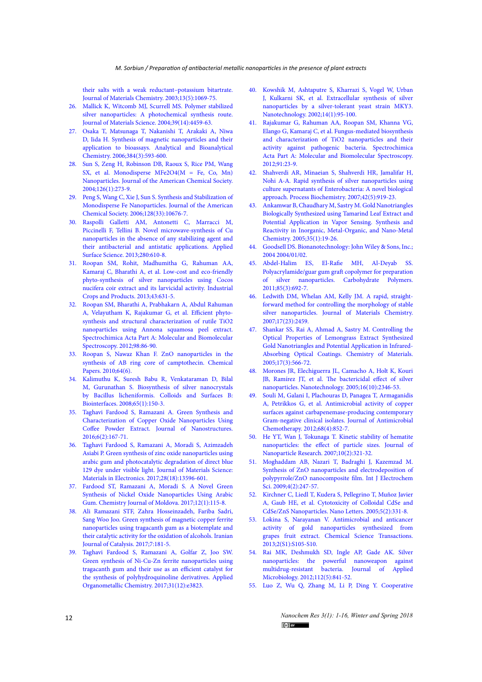[their salts with a weak reductant–potassium bitartrate.](http://dx.doi.org/10.1039/b211386d)  [Journal of Materials Chemistry. 2003;13\(5\):1069-75.](http://dx.doi.org/10.1039/b211386d)

- 26. [Mallick K, Witcomb MJ, Scurrell MS. Polymer stabilized](http://dx.doi.org/10.1023/b:jmsc.0000034138.80116.50)  [silver nanoparticles: A photochemical synthesis route.](http://dx.doi.org/10.1023/b:jmsc.0000034138.80116.50)  [Journal of Materials Science. 2004;39\(14\):4459-63.](http://dx.doi.org/10.1023/b:jmsc.0000034138.80116.50)
- 27. [Osaka T, Matsunaga T, Nakanishi T, Arakaki A, Niwa](http://dx.doi.org/10.1007/s00216-005-0255-7)  [D, Iida H. Synthesis of magnetic nanoparticles and their](http://dx.doi.org/10.1007/s00216-005-0255-7)  [application to bioassays. Analytical and Bioanalytical](http://dx.doi.org/10.1007/s00216-005-0255-7)  [Chemistry. 2006;384\(3\):593-600.](http://dx.doi.org/10.1007/s00216-005-0255-7)
- 28. [Sun S, Zeng H, Robinson DB, Raoux S, Rice PM, Wang](http://dx.doi.org/10.1021/ja0380852)  [SX, et al. Monodisperse MFe2O4\(M = Fe, Co, Mn\)](http://dx.doi.org/10.1021/ja0380852)  [Nanoparticles. Journal of the American Chemical Society.](http://dx.doi.org/10.1021/ja0380852)  [2004;126\(1\):273-9.](http://dx.doi.org/10.1021/ja0380852)
- 29. [Peng S, Wang C, Xie J, Sun S. Synthesis and Stabilization of](http://dx.doi.org/10.1021/ja063969h)  [Monodisperse Fe Nanoparticles. Journal of the American](http://dx.doi.org/10.1021/ja063969h)  [Chemical Society. 2006;128\(33\):10676-7.](http://dx.doi.org/10.1021/ja063969h)
- 30. [Raspolli Galletti AM, Antonetti C, Marracci M,](http://dx.doi.org/10.1016/j.apsusc.2013.05.035)  [Piccinelli F, Tellini B. Novel microwave-synthesis of Cu](http://dx.doi.org/10.1016/j.apsusc.2013.05.035)  [nanoparticles in the absence of any stabilizing agent and](http://dx.doi.org/10.1016/j.apsusc.2013.05.035)  [their antibacterial and antistatic applications. Applied](http://dx.doi.org/10.1016/j.apsusc.2013.05.035)  [Surface Science. 2013;280:610-8.](http://dx.doi.org/10.1016/j.apsusc.2013.05.035)
- 31. [Roopan SM, Rohit, Madhumitha G, Rahuman AA,](http://dx.doi.org/10.1016/j.indcrop.2012.08.013)  [Kamaraj C, Bharathi A, et al. Low-cost and eco-friendly](http://dx.doi.org/10.1016/j.indcrop.2012.08.013)  [phyto-synthesis of silver nanoparticles using Cocos](http://dx.doi.org/10.1016/j.indcrop.2012.08.013)  [nucifera coir extract and its larvicidal activity. Industrial](http://dx.doi.org/10.1016/j.indcrop.2012.08.013)  [Crops and Products. 2013;43:631-5.](http://dx.doi.org/10.1016/j.indcrop.2012.08.013)
- 32. [Roopan SM, Bharathi A, Prabhakarn A, Abdul Rahuman](http://dx.doi.org/10.1016/j.saa.2012.08.055)  [A, Velayutham K, Rajakumar G, et al. Efficient phyto](http://dx.doi.org/10.1016/j.saa.2012.08.055)[synthesis and structural characterization of rutile TiO2](http://dx.doi.org/10.1016/j.saa.2012.08.055)  [nanoparticles using Annona squamosa peel extract.](http://dx.doi.org/10.1016/j.saa.2012.08.055)  [Spectrochimica Acta Part A: Molecular and Biomolecular](http://dx.doi.org/10.1016/j.saa.2012.08.055)  [Spectroscopy. 2012;98:86-90.](http://dx.doi.org/10.1016/j.saa.2012.08.055)
- 33. [Roopan S, Nawaz Khan F. ZnO nanoparticles in the](http://dx.doi.org/10.2478/s11696-010-0058-y)  [synthesis of AB ring core of camptothecin. Chemical](http://dx.doi.org/10.2478/s11696-010-0058-y)  [Papers. 2010;64\(6\).](http://dx.doi.org/10.2478/s11696-010-0058-y)
- 34. [Kalimuthu K, Suresh Babu R, Venkataraman D, Bilal](http://dx.doi.org/10.1016/j.colsurfb.2008.02.018)  [M, Gurunathan S. Biosynthesis of silver nanocrystals](http://dx.doi.org/10.1016/j.colsurfb.2008.02.018)  [by Bacillus licheniformis. Colloids and Surfaces B:](http://dx.doi.org/10.1016/j.colsurfb.2008.02.018)  [Biointerfaces. 2008;65\(1\):150-3.](http://dx.doi.org/10.1016/j.colsurfb.2008.02.018)
- 35. [Taghavi Fardood S, Ramazani A. Green Synthesis and](http://jns.kashanu.ac.ir/article_15495.html)  [Characterization of Copper Oxide Nanoparticles Using](http://jns.kashanu.ac.ir/article_15495.html)  [Coffee Powder Extract. Journal of Nanostructures.](http://jns.kashanu.ac.ir/article_15495.html)  [2016;6\(2\):167-71.](http://jns.kashanu.ac.ir/article_15495.html)
- 36. [Taghavi Fardood S, Ramazani A, Moradi S, Azimzadeh](http://dx.doi.org/10.1007/s10854-017-7199-5)  [Asiabi P. Green synthesis of zinc oxide nanoparticles using](http://dx.doi.org/10.1007/s10854-017-7199-5)  [arabic gum and photocatalytic degradation of direct blue](http://dx.doi.org/10.1007/s10854-017-7199-5)  [129 dye under visible light. Journal of Materials Science:](http://dx.doi.org/10.1007/s10854-017-7199-5)  [Materials in Electronics. 2017;28\(18\):13596-601.](http://dx.doi.org/10.1007/s10854-017-7199-5)
- 37. [Fardood ST, Ramazani A, Moradi S. A Novel Green](http://dx.doi.org/10.19261/cjm.2017.383)  [Synthesis of Nickel Oxide Nanoparticles Using Arabic](http://dx.doi.org/10.19261/cjm.2017.383)  [Gum. Chemistry Journal of Moldova. 2017;12\(1\):115-8.](http://dx.doi.org/10.19261/cjm.2017.383)
- 38. [Ali Ramazani STF, Zahra Hosseinzadeh, Fariba Sadri,](http://ijc.iaush.ac.ir/article_48951.html)  [Sang Woo Joo. Green synthesis of magnetic copper ferrite](http://ijc.iaush.ac.ir/article_48951.html)  [nanoparticles using tragacanth gum as a biotemplate and](http://ijc.iaush.ac.ir/article_48951.html)  [their catalytic activity for the oxidation of alcohols. Iranian](http://ijc.iaush.ac.ir/article_48951.html)  [Journal of Catalysis. 2017;7:181-5.](http://ijc.iaush.ac.ir/article_48951.html)
- 39. [Taghavi Fardood S, Ramazani A, Golfar Z, Joo SW.](http://dx.doi.org/10.1002/aoc.3823)  [Green synthesis of Ni-Cu-Zn ferrite nanoparticles using](http://dx.doi.org/10.1002/aoc.3823)  [tragacanth gum and their use as an efficient catalyst for](http://dx.doi.org/10.1002/aoc.3823)  [the synthesis of polyhydroquinoline derivatives. Applied](http://dx.doi.org/10.1002/aoc.3823)  [Organometallic Chemistry. 2017;31\(12\):e3823.](http://dx.doi.org/10.1002/aoc.3823)
- 40. [Kowshik M, Ashtaputre S, Kharrazi S, Vogel W, Urban](http://dx.doi.org/10.1088/0957-4484/14/1/321) [J, Kulkarni SK, et al. Extracellular synthesis of silver](http://dx.doi.org/10.1088/0957-4484/14/1/321) [nanoparticles by a silver-tolerant yeast strain MKY3.](http://dx.doi.org/10.1088/0957-4484/14/1/321) [Nanotechnology. 2002;14\(1\):95-100.](http://dx.doi.org/10.1088/0957-4484/14/1/321)
- 41. [Rajakumar G, Rahuman AA, Roopan SM, Khanna VG,](http://dx.doi.org/10.1016/j.saa.2012.01.011) [Elango G, Kamaraj C, et al. Fungus-mediated biosynthesis](http://dx.doi.org/10.1016/j.saa.2012.01.011) [and characterization of TiO2 nanoparticles and their](http://dx.doi.org/10.1016/j.saa.2012.01.011) [activity against pathogenic bacteria. Spectrochimica](http://dx.doi.org/10.1016/j.saa.2012.01.011) [Acta Part A: Molecular and Biomolecular Spectroscopy.](http://dx.doi.org/10.1016/j.saa.2012.01.011) [2012;91:23-9.](http://dx.doi.org/10.1016/j.saa.2012.01.011)
- 42. [Shahverdi AR, Minaeian S, Shahverdi HR, Jamalifar H,](http://dx.doi.org/10.1016/j.procbio.2007.02.005) [Nohi A-A. Rapid synthesis of silver nanoparticles using](http://dx.doi.org/10.1016/j.procbio.2007.02.005) [culture supernatants of Enterobacteria: A novel biological](http://dx.doi.org/10.1016/j.procbio.2007.02.005) [approach. Process Biochemistry. 2007;42\(5\):919-23.](http://dx.doi.org/10.1016/j.procbio.2007.02.005)
- 43. [Ankamwar B, Chaudhary M, Sastry M. Gold Nanotriangles](http://dx.doi.org/10.1081/sim-200047527) [Biologically Synthesized using Tamarind Leaf Extract and](http://dx.doi.org/10.1081/sim-200047527) [Potential Application in Vapor Sensing. Synthesis and](http://dx.doi.org/10.1081/sim-200047527) [Reactivity in Inorganic, Metal-Organic, and Nano-Metal](http://dx.doi.org/10.1081/sim-200047527) [Chemistry. 2005;35\(1\):19-26.](http://dx.doi.org/10.1081/sim-200047527)
- 44. [Goodsell DS. Bionanotechnology: John Wiley & Sons, Inc.;](http://dx.doi.org/10.1002/0471469572) [2004 2004/01/02.](http://dx.doi.org/10.1002/0471469572)
- 45. [Abdel-Halim ES, El-Rafie MH, Al-Deyab SS.](http://dx.doi.org/10.1016/j.carbpol.2011.03.039) [Polyacrylamide/guar gum graft copolymer for preparation](http://dx.doi.org/10.1016/j.carbpol.2011.03.039) [of silver nanoparticles. Carbohydrate Polymers.](http://dx.doi.org/10.1016/j.carbpol.2011.03.039) [2011;85\(3\):692-7.](http://dx.doi.org/10.1016/j.carbpol.2011.03.039)
- 46. [Ledwith DM, Whelan AM, Kelly JM. A rapid, straight](http://dx.doi.org/10.1039/b702141k)[forward method for controlling the morphology of stable](http://dx.doi.org/10.1039/b702141k) [silver nanoparticles. Journal of Materials Chemistry.](http://dx.doi.org/10.1039/b702141k) [2007;17\(23\):2459.](http://dx.doi.org/10.1039/b702141k)
- 47. [Shankar SS, Rai A, Ahmad A, Sastry M. Controlling the](http://dx.doi.org/10.1021/cm048292g) [Optical Properties of Lemongrass Extract Synthesized](http://dx.doi.org/10.1021/cm048292g) [Gold Nanotriangles and Potential Application in Infrared-](http://dx.doi.org/10.1021/cm048292g)[Absorbing Optical Coatings. Chemistry of Materials.](http://dx.doi.org/10.1021/cm048292g) [2005;17\(3\):566-72.](http://dx.doi.org/10.1021/cm048292g)
- 48. [Morones JR, Elechiguerra JL, Camacho A, Holt K, Kouri](http://dx.doi.org/10.1088/0957-4484/16/10/059) [JB, Ramírez JT, et al. The bactericidal effect of silver](http://dx.doi.org/10.1088/0957-4484/16/10/059) [nanoparticles. Nanotechnology. 2005;16\(10\):2346-53.](http://dx.doi.org/10.1088/0957-4484/16/10/059)
- 49. [Souli M, Galani I, Plachouras D, Panagea T, Armaganidis](http://dx.doi.org/10.1093/jac/dks473) [A, Petrikkos G, et al. Antimicrobial activity of copper](http://dx.doi.org/10.1093/jac/dks473) [surfaces against carbapenemase-producing contemporary](http://dx.doi.org/10.1093/jac/dks473) [Gram-negative clinical isolates. Journal of Antimicrobial](http://dx.doi.org/10.1093/jac/dks473) [Chemotherapy. 2012;68\(4\):852-7.](http://dx.doi.org/10.1093/jac/dks473)
- 50. [He YT, Wan J, Tokunaga T. Kinetic stability of hematite](http://dx.doi.org/10.1007/s11051-007-9255-1) [nanoparticles: the effect of particle sizes. Journal of](http://dx.doi.org/10.1007/s11051-007-9255-1) [Nanoparticle Research. 2007;10\(2\):321-32.](http://dx.doi.org/10.1007/s11051-007-9255-1)
- 51. [Moghaddam AB, Nazari T, Badraghi J, Kazemzad M.](http://www.electrochemsci.org/list09.htm) [Synthesis of ZnO nanoparticles and electrodeposition of](http://www.electrochemsci.org/list09.htm) [polypyrrole/ZnO nanocomposite film. Int J Electrochem](http://www.electrochemsci.org/list09.htm) [Sci. 2009;4\(2\):247-57.](http://www.electrochemsci.org/list09.htm)
- 52. [Kirchner C, Liedl T, Kudera S, Pellegrino T, Muñoz Javier](http://dx.doi.org/10.1021/nl047996m) [A, Gaub HE, et al. Cytotoxicity of Colloidal CdSe and](http://dx.doi.org/10.1021/nl047996m) [CdSe/ZnS Nanoparticles. Nano Letters. 2005;5\(2\):331-8.](http://dx.doi.org/10.1021/nl047996m)
- 53. [Lokina S, Narayanan V. Antimicrobial and anticancer](http://www.e-journals.in/abstract.asp?Totarticle=22) [activity of gold nanoparticles synthesized from](http://www.e-journals.in/abstract.asp?Totarticle=22) [grapes fruit extract. Chemical Science Transactions.](http://www.e-journals.in/abstract.asp?Totarticle=22) [2013;2\(S1\):S105-S10.](http://www.e-journals.in/abstract.asp?Totarticle=22)
- 54. [Rai MK, Deshmukh SD, Ingle AP, Gade AK. Silver](http://dx.doi.org/10.1111/j.1365-2672.2012.05253.x) [nanoparticles: the powerful nanoweapon against](http://dx.doi.org/10.1111/j.1365-2672.2012.05253.x) [multidrug-resistant bacteria. Journal of Applied](http://dx.doi.org/10.1111/j.1365-2672.2012.05253.x) [Microbiology. 2012;112\(5\):841-52.](http://dx.doi.org/10.1111/j.1365-2672.2012.05253.x)
- 55. [Luo Z, Wu Q, Zhang M, Li P, Ding Y. Cooperative](http://dx.doi.org/10.1016/j.jcis.2011.06.039)

*Nanochem Res 3(1): 1-16, Winter and Spring 2018*  $(cc)$  EY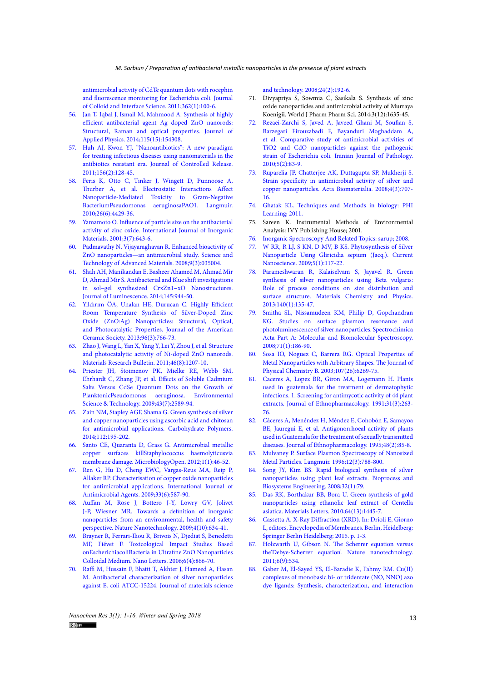[antimicrobial activity of CdTe quantum dots with rocephin](http://dx.doi.org/10.1016/j.jcis.2011.06.039)  [and fluorescence monitoring for Escherichia coli. Journal](http://dx.doi.org/10.1016/j.jcis.2011.06.039)  [of Colloid and Interface Science. 2011;362\(1\):100-6.](http://dx.doi.org/10.1016/j.jcis.2011.06.039)

- 56. [Jan T, Iqbal J, Ismail M, Mahmood A. Synthesis of highly](http://dx.doi.org/10.1063/1.4869736)  [efficient antibacterial agent Ag doped ZnO nanorods:](http://dx.doi.org/10.1063/1.4869736)  [Structural, Raman and optical properties. Journal of](http://dx.doi.org/10.1063/1.4869736)  [Applied Physics. 2014;115\(15\):154308.](http://dx.doi.org/10.1063/1.4869736)
- 57. [Huh AJ, Kwon YJ. "Nanoantibiotics": A new paradigm](http://dx.doi.org/10.1016/j.jconrel.2011.07.002)  [for treating infectious diseases using nanomaterials in the](http://dx.doi.org/10.1016/j.jconrel.2011.07.002)  [antibiotics resistant era. Journal of Controlled Release.](http://dx.doi.org/10.1016/j.jconrel.2011.07.002)  [2011;156\(2\):128-45.](http://dx.doi.org/10.1016/j.jconrel.2011.07.002)
- 58. [Feris K, Otto C, Tinker J, Wingett D, Punnoose A,](http://dx.doi.org/10.1021/la903491z)  [Thurber A, et al. Electrostatic Interactions Affect](http://dx.doi.org/10.1021/la903491z)  [Nanoparticle-Mediated Toxicity to Gram-Negative](http://dx.doi.org/10.1021/la903491z)  [BacteriumPseudomonas aeruginosaPAO1. Langmuir.](http://dx.doi.org/10.1021/la903491z)  [2010;26\(6\):4429-36.](http://dx.doi.org/10.1021/la903491z)
- 59. [Yamamoto O. Influence of particle size on the antibacterial](http://dx.doi.org/10.1016/s1466-6049(01)00197-0)  [activity of zinc oxide. International Journal of Inorganic](http://dx.doi.org/10.1016/s1466-6049(01)00197-0)  [Materials. 2001;3\(7\):643-6.](http://dx.doi.org/10.1016/s1466-6049(01)00197-0)
- 60. [Padmavathy N, Vijayaraghavan R. Enhanced bioactivity of](http://dx.doi.org/10.1088/1468-6996/9/3/035004)  [ZnO nanoparticles—an antimicrobial study. Science and](http://dx.doi.org/10.1088/1468-6996/9/3/035004)  [Technology of Advanced Materials. 2008;9\(3\):035004.](http://dx.doi.org/10.1088/1468-6996/9/3/035004)
- 61. [Shah AH, Manikandan E, Basheer Ahamed M, Ahmad Mir](http://dx.doi.org/10.1016/j.jlumin.2013.09.023)  [D, Ahmad Mir S. Antibacterial and Blue shift investigations](http://dx.doi.org/10.1016/j.jlumin.2013.09.023)  [in sol–gel synthesized CrxZn1−xO Nanostructures.](http://dx.doi.org/10.1016/j.jlumin.2013.09.023)  [Journal of Luminescence. 2014;145:944-50.](http://dx.doi.org/10.1016/j.jlumin.2013.09.023)
- 62. [Yıldırım ÖA, Unalan HE, Durucan C. Highly Efficient](http://dx.doi.org/10.1111/jace.12218)  [Room Temperature Synthesis of Silver-Doped Zinc](http://dx.doi.org/10.1111/jace.12218)  [Oxide \(ZnO:Ag\) Nanoparticles: Structural, Optical,](http://dx.doi.org/10.1111/jace.12218)  [and Photocatalytic Properties. Journal of the American](http://dx.doi.org/10.1111/jace.12218)  [Ceramic Society. 2013;96\(3\):766-73.](http://dx.doi.org/10.1111/jace.12218)
- 63. [Zhao J, Wang L, Yan X, Yang Y, Lei Y, Zhou J, et al. Structure](http://dx.doi.org/10.1016/j.materresbull.2011.04.008)  [and photocatalytic activity of Ni-doped ZnO nanorods.](http://dx.doi.org/10.1016/j.materresbull.2011.04.008)  [Materials Research Bulletin. 2011;46\(8\):1207-10.](http://dx.doi.org/10.1016/j.materresbull.2011.04.008)
- 64. [Priester JH, Stoimenov PK, Mielke RE, Webb SM,](http://dx.doi.org/10.1021/es802806n)  [Ehrhardt C, Zhang JP, et al. Effects of Soluble Cadmium](http://dx.doi.org/10.1021/es802806n)  [Salts Versus CdSe Quantum Dots on the Growth of](http://dx.doi.org/10.1021/es802806n)  [PlanktonicPseudomonas aeruginosa. Environmental](http://dx.doi.org/10.1021/es802806n)  [Science & Technology. 2009;43\(7\):2589-94.](http://dx.doi.org/10.1021/es802806n)
- 65. [Zain NM, Stapley AGF, Shama G. Green synthesis of silver](http://dx.doi.org/10.1016/j.carbpol.2014.05.081)  [and copper nanoparticles using ascorbic acid and chitosan](http://dx.doi.org/10.1016/j.carbpol.2014.05.081)  [for antimicrobial applications. Carbohydrate Polymers.](http://dx.doi.org/10.1016/j.carbpol.2014.05.081)  [2014;112:195-202.](http://dx.doi.org/10.1016/j.carbpol.2014.05.081)
- 66. [Santo CE, Quaranta D, Grass G. Antimicrobial metallic](http://dx.doi.org/10.1002/mbo3.2)  [copper surfaces killStaphylococcus haemolyticusvia](http://dx.doi.org/10.1002/mbo3.2)  [membrane damage. MicrobiologyOpen. 2012;1\(1\):46-52.](http://dx.doi.org/10.1002/mbo3.2)
- 67. [Ren G, Hu D, Cheng EWC, Vargas-Reus MA, Reip P,](http://dx.doi.org/10.1016/j.ijantimicag.2008.12.004)  [Allaker RP. Characterisation of copper oxide nanoparticles](http://dx.doi.org/10.1016/j.ijantimicag.2008.12.004)  [for antimicrobial applications. International Journal of](http://dx.doi.org/10.1016/j.ijantimicag.2008.12.004)  [Antimicrobial Agents. 2009;33\(6\):587-90.](http://dx.doi.org/10.1016/j.ijantimicag.2008.12.004)
- 68. [Auffan M, Rose J, Bottero J-Y, Lowry GV, Jolivet](http://dx.doi.org/10.1038/nnano.2009.242)  [J-P, Wiesner MR. Towards a definition of inorganic](http://dx.doi.org/10.1038/nnano.2009.242)  [nanoparticles from an environmental, health and safety](http://dx.doi.org/10.1038/nnano.2009.242)  [perspective. Nature Nanotechnology. 2009;4\(10\):634-41.](http://dx.doi.org/10.1038/nnano.2009.242)
- 69. [Brayner R, Ferrari-Iliou R, Brivois N, Djediat S, Benedetti](http://dx.doi.org/10.1021/nl052326h)  [MF, Fiévet F. Toxicological Impact Studies Based](http://dx.doi.org/10.1021/nl052326h)  [onEscherichiacoliBacteria in Ultrafine ZnO Nanoparticles](http://dx.doi.org/10.1021/nl052326h)  [Colloidal Medium. Nano Letters. 2006;6\(4\):866-70.](http://dx.doi.org/10.1021/nl052326h)
- 70. [Raffi M, Hussain F, Bhatti T, Akhter J, Hameed A, Hasan](http://www.jmst.org/EN/Y2008/V24/I02/192)  [M. Antibacterial characterization of silver nanoparticles](http://www.jmst.org/EN/Y2008/V24/I02/192)  [against E. coli ATCC-15224. Journal of materials science](http://www.jmst.org/EN/Y2008/V24/I02/192)

[and technology. 2008;24\(2\):192-6.](http://www.jmst.org/EN/Y2008/V24/I02/192)

- 71. Divyapriya S, Sowmia C, Sasikala S. Synthesis of zinc oxide nanoparticles and antimicrobial activity of Murraya Koenigii. World J Pharm Pharm Sci. 2014;3(12):1635-45.
- 72. [Rezaei-Zarchi S, Javed A, Javeed Ghani M, Soufian S,](http://ijp.iranpath.org/?_action=articleInfo&article=8830) [Barzegari Firouzabadi F, Bayanduri Moghaddam A,](http://ijp.iranpath.org/?_action=articleInfo&article=8830) [et al. Comparative study of antimicrobial activities of](http://ijp.iranpath.org/?_action=articleInfo&article=8830) [TiO2 and CdO nanoparticles against the pathogenic](http://ijp.iranpath.org/?_action=articleInfo&article=8830) [strain of Escherichia coli. Iranian Journal of Pathology.](http://ijp.iranpath.org/?_action=articleInfo&article=8830) [2010;5\(2\):83-9.](http://ijp.iranpath.org/?_action=articleInfo&article=8830)
- 73. [Ruparelia JP, Chatterjee AK, Duttagupta SP, Mukherji S.](http://dx.doi.org/10.1016/j.actbio.2007.11.006) [Strain specificity in antimicrobial activity of silver and](http://dx.doi.org/10.1016/j.actbio.2007.11.006) [copper nanoparticles. Acta Biomaterialia. 2008;4\(3\):707-](http://dx.doi.org/10.1016/j.actbio.2007.11.006) [16.](http://dx.doi.org/10.1016/j.actbio.2007.11.006)
- 74. [Ghatak KL. Techniques and Methods in biology: PHI](https://www.kopykitab.com/Techniques-And-Methods-In-Biology-by-K-L-Ghatak) [Learning; 2011.](https://www.kopykitab.com/Techniques-And-Methods-In-Biology-by-K-L-Ghatak)
- 75. Sareen K. Instrumental Methods of Environmental Analysis: IVY Publishing House; 2001.
- 76. [Inorganic Spectroscopy And Related Topics: sarup; 2008.](https://www.abebooks.co.uk/Inorganic-Spectroscopy-Related-Topics-Fmiza-Hammer/1267244394/bd)
- 77. [W RR, R LJ, S KN, D MV, B KS. Phytosynthesis of Silver](https://www.ingentaconnect.com/content/ben/cnano/2009/00000005/00000001/art00015) [Nanoparticle Using Gliricidia sepium \(Jacq.\). Current](https://www.ingentaconnect.com/content/ben/cnano/2009/00000005/00000001/art00015) [Nanoscience. 2009;5\(1\):117-22.](https://www.ingentaconnect.com/content/ben/cnano/2009/00000005/00000001/art00015)
- 78. [Parameshwaran R, Kalaiselvam S, Jayavel R. Green](http://dx.doi.org/10.1016/j.matchemphys.2013.03.012) [synthesis of silver nanoparticles using Beta vulgaris:](http://dx.doi.org/10.1016/j.matchemphys.2013.03.012) [Role of process conditions on size distribution and](http://dx.doi.org/10.1016/j.matchemphys.2013.03.012) [surface structure. Materials Chemistry and Physics.](http://dx.doi.org/10.1016/j.matchemphys.2013.03.012) [2013;140\(1\):135-47.](http://dx.doi.org/10.1016/j.matchemphys.2013.03.012)
- 79. [Smitha SL, Nissamudeen KM, Philip D, Gopchandran](http://dx.doi.org/10.1016/j.saa.2007.12.002) [KG. Studies on surface plasmon resonance and](http://dx.doi.org/10.1016/j.saa.2007.12.002) [photoluminescence of silver nanoparticles. Spectrochimica](http://dx.doi.org/10.1016/j.saa.2007.12.002) [Acta Part A: Molecular and Biomolecular Spectroscopy.](http://dx.doi.org/10.1016/j.saa.2007.12.002) [2008;71\(1\):186-90.](http://dx.doi.org/10.1016/j.saa.2007.12.002)
- 80. [Sosa IO, Noguez C, Barrera RG. Optical Properties of](http://dx.doi.org/10.1021/jp0274076) [Metal Nanoparticles with Arbitrary Shapes. The Journal of](http://dx.doi.org/10.1021/jp0274076) [Physical Chemistry B. 2003;107\(26\):6269-75.](http://dx.doi.org/10.1021/jp0274076)
- 81. [Caceres A, Lopez BR, Giron MA, Logemann H. Plants](http://dx.doi.org/10.1016/0378-8741(91)90011-2) [used in guatemala for the treatment of dermatophytic](http://dx.doi.org/10.1016/0378-8741(91)90011-2) [infections. 1. Screening for antimycotic activity of 44 plant](http://dx.doi.org/10.1016/0378-8741(91)90011-2) [extracts. Journal of Ethnopharmacology. 1991;31\(3\):263-](http://dx.doi.org/10.1016/0378-8741(91)90011-2) [76.](http://dx.doi.org/10.1016/0378-8741(91)90011-2)
- 82. [Cáceres A, Menéndez H, Méndez E, Cohobón E, Samayoa](http://dx.doi.org/10.1016/0378-8741(95)01288-o) [BE, Jauregui E, et al. Antigonorrhoeal activity of plants](http://dx.doi.org/10.1016/0378-8741(95)01288-o) [used in Guatemala for the treatment of sexually transmitted](http://dx.doi.org/10.1016/0378-8741(95)01288-o) [diseases. Journal of Ethnopharmacology. 1995;48\(2\):85-8.](http://dx.doi.org/10.1016/0378-8741(95)01288-o)
- 83. [Mulvaney P. Surface Plasmon Spectroscopy of Nanosized](https://doi.org/10.1021/la9502711) [Metal Particles. Langmuir. 1996;12\(3\):788-800.](https://doi.org/10.1021/la9502711)
- 84. [Song JY, Kim BS. Rapid biological synthesis of silver](https://doi.org/10.1007/s00449-008-0224-6) [nanoparticles using plant leaf extracts. Bioprocess and](https://doi.org/10.1007/s00449-008-0224-6) [Biosystems Engineering. 2008;32\(1\):79.](https://doi.org/10.1007/s00449-008-0224-6)
- 85. [Das RK, Borthakur BB, Bora U. Green synthesis of gold](http://www.sciencedirect.com/science/article/pii/S0167577X10002661) [nanoparticles using ethanolic leaf extract of Centella](http://www.sciencedirect.com/science/article/pii/S0167577X10002661) [asiatica. Materials Letters. 2010;64\(13\):1445-7.](http://www.sciencedirect.com/science/article/pii/S0167577X10002661)
- 86. [Cassetta A. X-Ray Diffraction \(XRD\). In: Drioli E, Giorno](https://doi.org/10.1007/978-3-642-40872-4_1102-2) [L, editors. Encyclopedia of Membranes. Berlin, Heidelberg:](https://doi.org/10.1007/978-3-642-40872-4_1102-2) [Springer Berlin Heidelberg; 2015. p. 1-3.](https://doi.org/10.1007/978-3-642-40872-4_1102-2)
- 87. [Holzwarth U, Gibson N. The Scherrer equation versus](https://www.nature.com/articles/nnano.2011.145) [the'Debye-Scherrer equation'. Nature nanotechnology.](https://www.nature.com/articles/nnano.2011.145) [2011;6\(9\):534.](https://www.nature.com/articles/nnano.2011.145)
- 88. [Gaber M, El-Sayed YS, El-Baradie K, Fahmy RM. Cu\(II\)](http://www.sciencedirect.com/science/article/pii/S0022286012006710) [complexes of monobasic bi- or tridentate \(NO, NNO\) azo](http://www.sciencedirect.com/science/article/pii/S0022286012006710) [dye ligands: Synthesis, characterization, and interaction](http://www.sciencedirect.com/science/article/pii/S0022286012006710)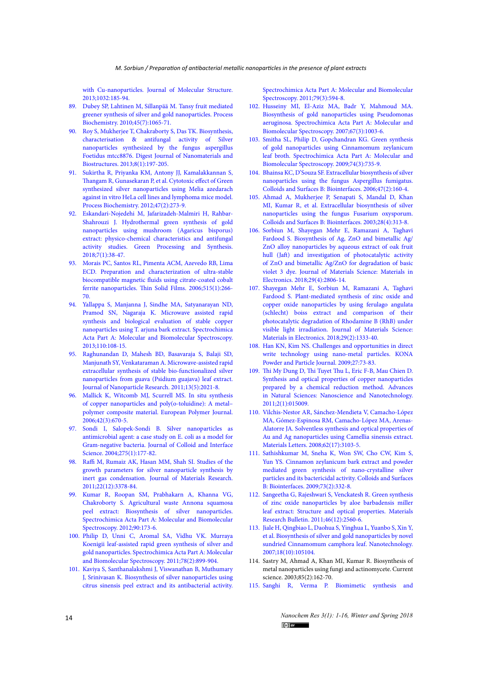with Cu-nanoparticles. Journal of Molecular Structure. [2013;1032:185-94.](http://www.sciencedirect.com/science/article/pii/S0022286012006710)

- 89. [Dubey SP, Lahtinen M, Sillanpää M. Tansy fruit mediated](http://www.sciencedirect.com/science/article/pii/S1359511310001017)  [greener synthesis of silver and gold nanoparticles. Process](http://www.sciencedirect.com/science/article/pii/S1359511310001017)  [Biochemistry. 2010;45\(7\):1065-71.](http://www.sciencedirect.com/science/article/pii/S1359511310001017)
- 90. [Roy S, Mukherjee T, Chakraborty S, Das TK. Biosynthesis,](http://www.chalcogen.ro/index.php/journals/digest-journal-of-nanomaterials-and-biostructures/8-djnb/30-volume-8-number-1-january-march-2013?showall=&limitstart=)  [characterisation & antifungal activity of Silver](http://www.chalcogen.ro/index.php/journals/digest-journal-of-nanomaterials-and-biostructures/8-djnb/30-volume-8-number-1-january-march-2013?showall=&limitstart=)  [nanoparticles synthesized by the fungus aspergillus](http://www.chalcogen.ro/index.php/journals/digest-journal-of-nanomaterials-and-biostructures/8-djnb/30-volume-8-number-1-january-march-2013?showall=&limitstart=)  [Foetidus mtcc8876. Digest Journal of Nanomaterials and](http://www.chalcogen.ro/index.php/journals/digest-journal-of-nanomaterials-and-biostructures/8-djnb/30-volume-8-number-1-january-march-2013?showall=&limitstart=)  [Biostructures. 2013;8\(1\):197-205.](http://www.chalcogen.ro/index.php/journals/digest-journal-of-nanomaterials-and-biostructures/8-djnb/30-volume-8-number-1-january-march-2013?showall=&limitstart=)
- 91. [Sukirtha R, Priyanka KM, Antony JJ, Kamalakkannan S,](http://www.sciencedirect.com/science/article/pii/S1359511311004004)  [Thangam R, Gunasekaran P, et al. Cytotoxic effect of Green](http://www.sciencedirect.com/science/article/pii/S1359511311004004)  [synthesized silver nanoparticles using Melia azedarach](http://www.sciencedirect.com/science/article/pii/S1359511311004004)  [against in vitro HeLa cell lines and lymphoma mice model.](http://www.sciencedirect.com/science/article/pii/S1359511311004004)  [Process Biochemistry. 2012;47\(2\):273-9.](http://www.sciencedirect.com/science/article/pii/S1359511311004004)
- 92. [Eskandari-Nojedehi M, Jafarizadeh-Malmiri H, Rahbar-](https://www.degruyter.com/view/j/gps.2018.7.issue-1/gps-2017-0004/gps-2017-0004.xml?format=INT)[Shahrouzi J. Hydrothermal green synthesis of gold](https://www.degruyter.com/view/j/gps.2018.7.issue-1/gps-2017-0004/gps-2017-0004.xml?format=INT)  [nanoparticles using mushroom \(Agaricus bisporus\)](https://www.degruyter.com/view/j/gps.2018.7.issue-1/gps-2017-0004/gps-2017-0004.xml?format=INT)  [extract: physico-chemical characteristics and antifungal](https://www.degruyter.com/view/j/gps.2018.7.issue-1/gps-2017-0004/gps-2017-0004.xml?format=INT)  [activity studies. Green Processing and Synthesis.](https://www.degruyter.com/view/j/gps.2018.7.issue-1/gps-2017-0004/gps-2017-0004.xml?format=INT)  [2018;7\(1\):38-47.](https://www.degruyter.com/view/j/gps.2018.7.issue-1/gps-2017-0004/gps-2017-0004.xml?format=INT)
- 93. [Morais PC, Santos RL, Pimenta ACM, Azevedo RB, Lima](http://www.sciencedirect.com/science/article/pii/S004060900502420X)  [ECD. Preparation and characterization of ultra-stable](http://www.sciencedirect.com/science/article/pii/S004060900502420X)  [biocompatible magnetic fluids using citrate-coated cobalt](http://www.sciencedirect.com/science/article/pii/S004060900502420X)  [ferrite nanoparticles. Thin Solid Films. 2006;515\(1\):266-](http://www.sciencedirect.com/science/article/pii/S004060900502420X) [70.](http://www.sciencedirect.com/science/article/pii/S004060900502420X)
- 94. [Yallappa S, Manjanna J, Sindhe MA, Satyanarayan ND,](http://www.sciencedirect.com/science/article/pii/S1386142513002151)  [Pramod SN, Nagaraja K. Microwave assisted rapid](http://www.sciencedirect.com/science/article/pii/S1386142513002151)  [synthesis and biological evaluation of stable copper](http://www.sciencedirect.com/science/article/pii/S1386142513002151)  [nanoparticles using T. arjuna bark extract. Spectrochimica](http://www.sciencedirect.com/science/article/pii/S1386142513002151)  [Acta Part A: Molecular and Biomolecular Spectroscopy.](http://www.sciencedirect.com/science/article/pii/S1386142513002151)  [2013;110:108-15.](http://www.sciencedirect.com/science/article/pii/S1386142513002151)
- 95. [Raghunandan D, Mahesh BD, Basavaraja S, Balaji SD,](https://doi.org/10.1007/s11051-010-9956-8)  [Manjunath SY, Venkataraman A. Microwave-assisted rapid](https://doi.org/10.1007/s11051-010-9956-8)  [extracellular synthesis of stable bio-functionalized silver](https://doi.org/10.1007/s11051-010-9956-8)  [nanoparticles from guava \(Psidium guajava\) leaf extract.](https://doi.org/10.1007/s11051-010-9956-8)  [Journal of Nanoparticle Research. 2011;13\(5\):2021-8.](https://doi.org/10.1007/s11051-010-9956-8)
- 96. [Mallick K, Witcomb MJ, Scurrell MS. In situ synthesis](http://www.sciencedirect.com/science/article/pii/S0014305705003666)  [of copper nanoparticles and poly\(o-toluidine\): A metal–](http://www.sciencedirect.com/science/article/pii/S0014305705003666) [polymer composite material. European Polymer Journal.](http://www.sciencedirect.com/science/article/pii/S0014305705003666)  [2006;42\(3\):670-5.](http://www.sciencedirect.com/science/article/pii/S0014305705003666)
- 97. [Sondi I, Salopek-Sondi B. Silver nanoparticles as](http://www.sciencedirect.com/science/article/pii/S0021979704001638)  [antimicrobial agent: a case study on E. coli as a model for](http://www.sciencedirect.com/science/article/pii/S0021979704001638)  [Gram-negative bacteria. Journal of Colloid and Interface](http://www.sciencedirect.com/science/article/pii/S0021979704001638)  [Science. 2004;275\(1\):177-82.](http://www.sciencedirect.com/science/article/pii/S0021979704001638)
- 98. [Raffi M, Rumaiz AK, Hasan MM, Shah SI. Studies of the](https://www.cambridge.org/core/article/studies-of-the-growth-parameters-for-silver-nanoparticle-synthesis-by-inert-gas-condensation/4B2A0704BA91E830A0CD7507644C1F4F)  [growth parameters for silver nanoparticle synthesis by](https://www.cambridge.org/core/article/studies-of-the-growth-parameters-for-silver-nanoparticle-synthesis-by-inert-gas-condensation/4B2A0704BA91E830A0CD7507644C1F4F)  [inert gas condensation. Journal of Materials Research.](https://www.cambridge.org/core/article/studies-of-the-growth-parameters-for-silver-nanoparticle-synthesis-by-inert-gas-condensation/4B2A0704BA91E830A0CD7507644C1F4F)  [2011;22\(12\):3378-84.](https://www.cambridge.org/core/article/studies-of-the-growth-parameters-for-silver-nanoparticle-synthesis-by-inert-gas-condensation/4B2A0704BA91E830A0CD7507644C1F4F)
- 99. [Kumar R, Roopan SM, Prabhakarn A, Khanna VG,](http://www.sciencedirect.com/science/article/pii/S138614251200042X)  [Chakroborty S. Agricultural waste Annona squamosa](http://www.sciencedirect.com/science/article/pii/S138614251200042X)  [peel extract: Biosynthesis of silver nanoparticles.](http://www.sciencedirect.com/science/article/pii/S138614251200042X)  [Spectrochimica Acta Part A: Molecular and Biomolecular](http://www.sciencedirect.com/science/article/pii/S138614251200042X)  [Spectroscopy. 2012;90:173-6.](http://www.sciencedirect.com/science/article/pii/S138614251200042X)
- 100. [Philip D, Unni C, Aromal SA, Vidhu VK. Murraya](http://www.sciencedirect.com/science/article/pii/S1386142510006852)  [Koenigii leaf-assisted rapid green synthesis of silver and](http://www.sciencedirect.com/science/article/pii/S1386142510006852)  [gold nanoparticles. Spectrochimica Acta Part A: Molecular](http://www.sciencedirect.com/science/article/pii/S1386142510006852)  [and Biomolecular Spectroscopy. 2011;78\(2\):899-904.](http://www.sciencedirect.com/science/article/pii/S1386142510006852)
- 101. [Kaviya S, Santhanalakshmi J, Viswanathan B, Muthumary](http://www.sciencedirect.com/science/article/pii/S1386142511002034)  [J, Srinivasan K. Biosynthesis of silver nanoparticles using](http://www.sciencedirect.com/science/article/pii/S1386142511002034)  [citrus sinensis peel extract and its antibacterial activity.](http://www.sciencedirect.com/science/article/pii/S1386142511002034)

[Spectrochimica Acta Part A: Molecular and Biomolecular](http://www.sciencedirect.com/science/article/pii/S1386142511002034) [Spectroscopy. 2011;79\(3\):594-8.](http://www.sciencedirect.com/science/article/pii/S1386142511002034)

- 102. [Husseiny MI, El-Aziz MA, Badr Y, Mahmoud MA.](http://www.sciencedirect.com/science/article/pii/S1386142506005403) [Biosynthesis of gold nanoparticles using Pseudomonas](http://www.sciencedirect.com/science/article/pii/S1386142506005403) [aeruginosa. Spectrochimica Acta Part A: Molecular and](http://www.sciencedirect.com/science/article/pii/S1386142506005403) [Biomolecular Spectroscopy. 2007;67\(3\):1003-6.](http://www.sciencedirect.com/science/article/pii/S1386142506005403)
- 103. [Smitha SL, Philip D, Gopchandran KG. Green synthesis](http://www.sciencedirect.com/science/article/pii/S1386142509003576) [of gold nanoparticles using Cinnamomum zeylanicum](http://www.sciencedirect.com/science/article/pii/S1386142509003576) [leaf broth. Spectrochimica Acta Part A: Molecular and](http://www.sciencedirect.com/science/article/pii/S1386142509003576) [Biomolecular Spectroscopy. 2009;74\(3\):735-9.](http://www.sciencedirect.com/science/article/pii/S1386142509003576)
- 104. [Bhainsa KC, D'Souza SF. Extracellular biosynthesis of silver](http://www.sciencedirect.com/science/article/pii/S0927776505003504) [nanoparticles using the fungus Aspergillus fumigatus.](http://www.sciencedirect.com/science/article/pii/S0927776505003504) [Colloids and Surfaces B: Biointerfaces. 2006;47\(2\):160-4.](http://www.sciencedirect.com/science/article/pii/S0927776505003504)
- 105. [Ahmad A, Mukherjee P, Senapati S, Mandal D, Khan](http://www.sciencedirect.com/science/article/pii/S0927776502001741) [MI, Kumar R, et al. Extracellular biosynthesis of silver](http://www.sciencedirect.com/science/article/pii/S0927776502001741) [nanoparticles using the fungus Fusarium oxysporum.](http://www.sciencedirect.com/science/article/pii/S0927776502001741) [Colloids and Surfaces B: Biointerfaces. 2003;28\(4\):313-8.](http://www.sciencedirect.com/science/article/pii/S0927776502001741)
- 106. [Sorbiun M, Shayegan Mehr E, Ramazani A, Taghavi](https://doi.org/10.1007/s10854-017-8209-3) [Fardood S. Biosynthesis of Ag, ZnO and bimetallic Ag/](https://doi.org/10.1007/s10854-017-8209-3) [ZnO alloy nanoparticles by aqueous extract of oak fruit](https://doi.org/10.1007/s10854-017-8209-3) [hull \(Jaft\) and investigation of photocatalytic activity](https://doi.org/10.1007/s10854-017-8209-3) [of ZnO and bimetallic Ag/ZnO for degradation of basic](https://doi.org/10.1007/s10854-017-8209-3) [violet 3 dye. Journal of Materials Science: Materials in](https://doi.org/10.1007/s10854-017-8209-3) [Electronics. 2018;29\(4\):2806-14.](https://doi.org/10.1007/s10854-017-8209-3)
- 107. [Shayegan Mehr E, Sorbiun M, Ramazani A, Taghavi](https://doi.org/10.1007/s10854-017-8039-3) [Fardood S. Plant-mediated synthesis of zinc oxide and](https://doi.org/10.1007/s10854-017-8039-3) [copper oxide nanoparticles by using ferulago angulata](https://doi.org/10.1007/s10854-017-8039-3) [\(schlecht\) boiss extract and comparison of their](https://doi.org/10.1007/s10854-017-8039-3) [photocatalytic degradation of Rhodamine B \(RhB\) under](https://doi.org/10.1007/s10854-017-8039-3) [visible light irradiation. Journal of Materials Science:](https://doi.org/10.1007/s10854-017-8039-3) [Materials in Electronics. 2018;29\(2\):1333-40.](https://doi.org/10.1007/s10854-017-8039-3)
- 108. [Han KN, Kim NS. Challenges and opportunities in direct](https://www.jstage.jst.go.jp/article/kona/27/0/27_2009009/_article/-char/ja/) [write technology using nano-metal particles. KONA](https://www.jstage.jst.go.jp/article/kona/27/0/27_2009009/_article/-char/ja/) [Powder and Particle Journal. 2009;27:73-83.](https://www.jstage.jst.go.jp/article/kona/27/0/27_2009009/_article/-char/ja/)
- 109. [Thi My Dung D, Thi Tuyet Thu L, Eric F-B, Mau Chien D.](http://stacks.iop.org/2043-6262/2/i=1/a=015009) [Synthesis and optical properties of copper nanoparticles](http://stacks.iop.org/2043-6262/2/i=1/a=015009) [prepared by a chemical reduction method. Advances](http://stacks.iop.org/2043-6262/2/i=1/a=015009) [in Natural Sciences: Nanoscience and Nanotechnology.](http://stacks.iop.org/2043-6262/2/i=1/a=015009) [2011;2\(1\):015009.](http://stacks.iop.org/2043-6262/2/i=1/a=015009)
- 110. [Vilchis-Nestor AR, Sánchez-Mendieta V, Camacho-López](http://www.sciencedirect.com/science/article/pii/S0167577X08001651) [MA, Gómez-Espinosa RM, Camacho-López MA, Arenas-](http://www.sciencedirect.com/science/article/pii/S0167577X08001651)[Alatorre JA. Solventless synthesis and optical properties of](http://www.sciencedirect.com/science/article/pii/S0167577X08001651) [Au and Ag nanoparticles using Camellia sinensis extract.](http://www.sciencedirect.com/science/article/pii/S0167577X08001651) [Materials Letters. 2008;62\(17\):3103-5.](http://www.sciencedirect.com/science/article/pii/S0167577X08001651)
- 111. [Sathishkumar M, Sneha K, Won SW, Cho CW, Kim S,](http://www.sciencedirect.com/science/article/pii/S0927776509002410) [Yun YS. Cinnamon zeylanicum bark extract and powder](http://www.sciencedirect.com/science/article/pii/S0927776509002410) [mediated green synthesis of nano-crystalline silver](http://www.sciencedirect.com/science/article/pii/S0927776509002410) [particles and its bactericidal activity. Colloids and Surfaces](http://www.sciencedirect.com/science/article/pii/S0927776509002410) [B: Biointerfaces. 2009;73\(2\):332-8.](http://www.sciencedirect.com/science/article/pii/S0927776509002410)
- 112. [Sangeetha G, Rajeshwari S, Venckatesh R. Green synthesis](http://www.sciencedirect.com/science/article/pii/S0025540811003734) [of zinc oxide nanoparticles by aloe barbadensis miller](http://www.sciencedirect.com/science/article/pii/S0025540811003734) [leaf extract: Structure and optical properties. Materials](http://www.sciencedirect.com/science/article/pii/S0025540811003734) [Research Bulletin. 2011;46\(12\):2560-6.](http://www.sciencedirect.com/science/article/pii/S0025540811003734)
- 113. [Jiale H, Qingbiao L, Daohua S, Yinghua L, Yuanbo S, Xin Y,](http://stacks.iop.org/0957-4484/18/i=10/a=105104) [et al. Biosynthesis of silver and gold nanoparticles by novel](http://stacks.iop.org/0957-4484/18/i=10/a=105104) [sundried Cinnamomum camphora leaf. Nanotechnology.](http://stacks.iop.org/0957-4484/18/i=10/a=105104) [2007;18\(10\):105104.](http://stacks.iop.org/0957-4484/18/i=10/a=105104)
- 114. Sastry M, Ahmad A, Khan MI, Kumar R. Biosynthesis of metal nanoparticles using fungi and actinomycete. Current science. 2003;85(2):162-70.
- 115. [Sanghi R, Verma P. Biomimetic synthesis and](http://www.sciencedirect.com/science/article/pii/S0960852408004732)

*Nanochem Res 3(1): 1-16, Winter and Spring 2018*  $(c)$  BY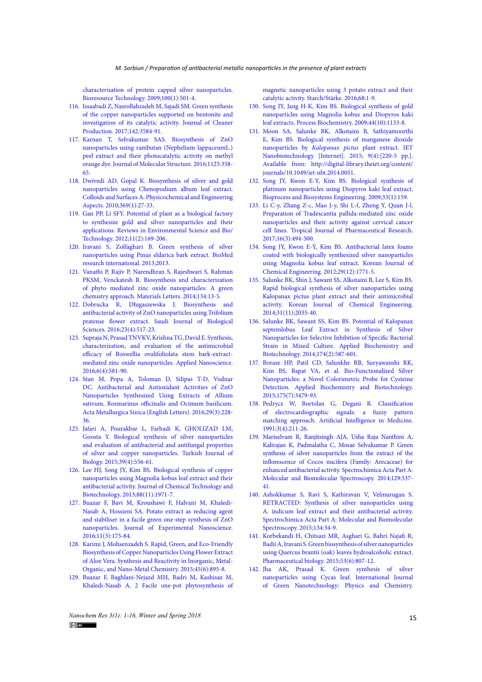[characterisation of protein capped silver nanoparticles.](http://www.sciencedirect.com/science/article/pii/S0960852408004732)  [Bioresource Technology. 2009;100\(1\):501-4.](http://www.sciencedirect.com/science/article/pii/S0960852408004732)

- 116. [Issaabadi Z, Nasrollahzadeh M, Sajadi SM. Green synthesis](http://www.sciencedirect.com/science/article/pii/S0959652616317292)  [of the copper nanoparticles supported on bentonite and](http://www.sciencedirect.com/science/article/pii/S0959652616317292)  [investigation of its catalytic activity. Journal of Cleaner](http://www.sciencedirect.com/science/article/pii/S0959652616317292)  [Production. 2017;142:3584-91.](http://www.sciencedirect.com/science/article/pii/S0959652616317292)
- 117. [Karnan T, Selvakumar SAS. Biosynthesis of ZnO](http://www.sciencedirect.com/science/article/pii/S0022286016307001)  [nanoparticles using rambutan \(Nephelium lappaceumL.\)](http://www.sciencedirect.com/science/article/pii/S0022286016307001)  [peel extract and their photocatalytic activity on methyl](http://www.sciencedirect.com/science/article/pii/S0022286016307001)  [orange dye. Journal of Molecular Structure. 2016;1125:358-](http://www.sciencedirect.com/science/article/pii/S0022286016307001) [65.](http://www.sciencedirect.com/science/article/pii/S0022286016307001)
- 118. [Dwivedi AD, Gopal K. Biosynthesis of silver and gold](http://www.sciencedirect.com/science/article/pii/S0927775710004127)  [nanoparticles using Chenopodium album leaf extract.](http://www.sciencedirect.com/science/article/pii/S0927775710004127)  [Colloids and Surfaces A: Physicochemical and Engineering](http://www.sciencedirect.com/science/article/pii/S0927775710004127)  [Aspects. 2010;369\(1\):27-33.](http://www.sciencedirect.com/science/article/pii/S0927775710004127)
- 119. [Gan PP, Li SFY. Potential of plant as a biological factory](https://doi.org/10.1007/s11157-012-9278-7)  [to synthesize gold and silver nanoparticles and their](https://doi.org/10.1007/s11157-012-9278-7)  [applications. Reviews in Environmental Science and Bio/](https://doi.org/10.1007/s11157-012-9278-7) [Technology. 2012;11\(2\):169-206.](https://doi.org/10.1007/s11157-012-9278-7)
- 120. [Iravani S, Zolfaghari B. Green synthesis of silver](https://www.hindawi.com/journals/bmri/2013/639725/abs/)  [nanoparticles using Pinus eldarica bark extract. BioMed](https://www.hindawi.com/journals/bmri/2013/639725/abs/)  [research international. 2013;2013.](https://www.hindawi.com/journals/bmri/2013/639725/abs/)
- 121. [Vanathi P, Rajiv P, Narendhran S, Rajeshwari S, Rahman](http://www.sciencedirect.com/science/article/pii/S0167577X14012798)  [PKSM, Venckatesh R. Biosynthesis and characterization](http://www.sciencedirect.com/science/article/pii/S0167577X14012798)  [of phyto mediated zinc oxide nanoparticles: A green](http://www.sciencedirect.com/science/article/pii/S0167577X14012798)  [chemistry approach. Materials Letters. 2014;134:13-5.](http://www.sciencedirect.com/science/article/pii/S0167577X14012798)
- 122. [Dobrucka R, Długaszewska J. Biosynthesis and](http://www.sciencedirect.com/science/article/pii/S1319562X1500131X)  [antibacterial activity of ZnO nanoparticles using Trifolium](http://www.sciencedirect.com/science/article/pii/S1319562X1500131X)  [pratense flower extract. Saudi Journal of Biological](http://www.sciencedirect.com/science/article/pii/S1319562X1500131X)  [Sciences. 2016;23\(4\):517-23.](http://www.sciencedirect.com/science/article/pii/S1319562X1500131X)
- 123. [Supraja N, Prasad TNVKV, Krishna TG, David E. Synthesis,](https://doi.org/10.1007/s13204-015-0472-0)  [characterization, and evaluation of the antimicrobial](https://doi.org/10.1007/s13204-015-0472-0)  [efficacy of Boswellia ovalifoliolata stem bark-extract](https://doi.org/10.1007/s13204-015-0472-0)[mediated zinc oxide nanoparticles. Applied Nanoscience.](https://doi.org/10.1007/s13204-015-0472-0)  [2016;6\(4\):581-90.](https://doi.org/10.1007/s13204-015-0472-0)
- 124. [Stan M, Popa A, Toloman D, Silipas T-D, Vodnar](https://doi.org/10.1007/s40195-016-0380-7)  [DC. Antibacterial and Antioxidant Activities of ZnO](https://doi.org/10.1007/s40195-016-0380-7)  [Nanoparticles Synthesized Using Extracts of Allium](https://doi.org/10.1007/s40195-016-0380-7)  [sativum, Rosmarinus officinalis and Ocimum basilicum.](https://doi.org/10.1007/s40195-016-0380-7)  [Acta Metallurgica Sinica \(English Letters\). 2016;29\(3\):228-](https://doi.org/10.1007/s40195-016-0380-7) [36.](https://doi.org/10.1007/s40195-016-0380-7)
- 125. [Jafari A, Pourakbar L, Farhadi K, GHOLIZAD LM,](http://journals.tubitak.gov.tr/biology/abstract.htm?id=16613)  [Goosta Y. Biological synthesis of silver nanoparticles](http://journals.tubitak.gov.tr/biology/abstract.htm?id=16613)  [and evaluation of antibacterial and antifungal properties](http://journals.tubitak.gov.tr/biology/abstract.htm?id=16613)  [of silver and copper nanoparticles. Turkish Journal of](http://journals.tubitak.gov.tr/biology/abstract.htm?id=16613)  [Biology. 2015;39\(4\):556-61.](http://journals.tubitak.gov.tr/biology/abstract.htm?id=16613)
- 126. [Lee HJ, Song JY, Kim BS. Biological synthesis of copper](https://onlinelibrary.wiley.com/doi/full/10.1002/jctb.4052)  [nanoparticles using Magnolia kobus leaf extract and their](https://onlinelibrary.wiley.com/doi/full/10.1002/jctb.4052)  [antibacterial activity. Journal of Chemical Technology and](https://onlinelibrary.wiley.com/doi/full/10.1002/jctb.4052)  [Biotechnology. 2013;88\(11\):1971-7.](https://onlinelibrary.wiley.com/doi/full/10.1002/jctb.4052)
- 127. [Buazar F, Bavi M, Kroushawi F, Halvani M, Khaledi-](https://doi.org/10.1080/17458080.2015.1039610)[Nasab A, Hossieni SA. Potato extract as reducing agent](https://doi.org/10.1080/17458080.2015.1039610)  [and stabiliser in a facile green one-step synthesis of ZnO](https://doi.org/10.1080/17458080.2015.1039610)  [nanoparticles. Journal of Experimental Nanoscience.](https://doi.org/10.1080/17458080.2015.1039610)  [2016;11\(3\):175-84.](https://doi.org/10.1080/17458080.2015.1039610)
- 128. [Karimi J, Mohsenzadeh S. Rapid, Green, and Eco-Friendly](https://doi.org/10.1080/15533174.2013.862644)  [Biosynthesis of Copper Nanoparticles Using Flower Extract](https://doi.org/10.1080/15533174.2013.862644)  [of Aloe Vera. Synthesis and Reactivity in Inorganic, Metal-](https://doi.org/10.1080/15533174.2013.862644)[Organic, and Nano-Metal Chemistry. 2015;45\(6\):895-8.](https://doi.org/10.1080/15533174.2013.862644)
- 129. [Buazar F, Baghlani-Nejazd MH, Badri M, Kashisaz M,](https://onlinelibrary.wiley.com/doi/full/10.1002/star.201500347)  [Khaledi-Nasab A. 2 Facile one-pot phytosynthesis of](https://onlinelibrary.wiley.com/doi/full/10.1002/star.201500347)

[magnetic nanoparticles using 3 potato extract and their](https://onlinelibrary.wiley.com/doi/full/10.1002/star.201500347) [catalytic activity. Starch/Stärke. 2016;68:1-9.](https://onlinelibrary.wiley.com/doi/full/10.1002/star.201500347)

- 130. [Song JY, Jang H-K, Kim BS. Biological synthesis of gold](http://www.sciencedirect.com/science/article/pii/S1359511309001925) [nanoparticles using Magnolia kobus and Diopyros kaki](http://www.sciencedirect.com/science/article/pii/S1359511309001925) [leaf extracts. Process Biochemistry. 2009;44\(10\):1133-8.](http://www.sciencedirect.com/science/article/pii/S1359511309001925)
- 131. [Moon SA, Salunke BK, Alkotaini B, Sathiyamoorthi](http://digital-library.theiet.org/content/journals/10.1049/iet-nbt.2014.0051) [E, Kim BS. Biological synthesis of manganese dioxide](http://digital-library.theiet.org/content/journals/10.1049/iet-nbt.2014.0051) nanoparticles by *Kalopanax pictus* plant extract. IET [Nanobiotechnology \[Internet\]. 2015; 9\(4\):\[220-5 pp.\].](http://digital-library.theiet.org/content/journals/10.1049/iet-nbt.2014.0051) [Available from: http://digital-library.theiet.org/content/](http://digital-library.theiet.org/content/journals/10.1049/iet-nbt.2014.0051) [journals/10.1049/iet-nbt.2014.0051.](http://digital-library.theiet.org/content/journals/10.1049/iet-nbt.2014.0051)
- 132. [Song JY, Kwon E-Y, Kim BS. Biological synthesis of](https://doi.org/10.1007/s00449-009-0373-2) [platinum nanoparticles using Diopyros kaki leaf extract.](https://doi.org/10.1007/s00449-009-0373-2) [Bioprocess and Biosystems Engineering. 2009;33\(1\):159.](https://doi.org/10.1007/s00449-009-0373-2)
- 133. [Li C-y, Zhang Z-c, Mao J-y, Shi L-f, Zheng Y, Quan J-l.](https://www.ajol.info/index.php/tjpr/article/view/154206) [Preparation of Tradescantia pallida-mediated zinc oxide](https://www.ajol.info/index.php/tjpr/article/view/154206) [nanoparticles and their activity against cervical cancer](https://www.ajol.info/index.php/tjpr/article/view/154206) [cell lines. Tropical Journal of Pharmaceutical Research.](https://www.ajol.info/index.php/tjpr/article/view/154206) [2017;16\(3\):494-500.](https://www.ajol.info/index.php/tjpr/article/view/154206)
- 134. [Song JY, Kwon E-Y, Kim BS. Antibacterial latex foams](https://doi.org/10.1007/s11814-012-0082-4) [coated with biologically synthesized silver nanoparticles](https://doi.org/10.1007/s11814-012-0082-4) [using Magnolia kobus leaf extract. Korean Journal of](https://doi.org/10.1007/s11814-012-0082-4) [Chemical Engineering. 2012;29\(12\):1771-5.](https://doi.org/10.1007/s11814-012-0082-4)
- 135. [Salunke BK, Shin J, Sawant SS, Alkotaini B, Lee S, Kim BS.](https://doi.org/10.1007/s11814-014-0149-5) [Rapid biological synthesis of silver nanoparticles using](https://doi.org/10.1007/s11814-014-0149-5) [Kalopanax pictus plant extract and their antimicrobial](https://doi.org/10.1007/s11814-014-0149-5) [activity. Korean Journal of Chemical Engineering.](https://doi.org/10.1007/s11814-014-0149-5) [2014;31\(11\):2035-40.](https://doi.org/10.1007/s11814-014-0149-5)
- 136. [Salunke BK, Sawant SS, Kim BS. Potential of Kalopanax](https://doi.org/10.1007/s12010-014-1077-x) [septemlobus Leaf Extract in Synthesis of Silver](https://doi.org/10.1007/s12010-014-1077-x) [Nanoparticles for Selective Inhibition of Specific Bacterial](https://doi.org/10.1007/s12010-014-1077-x) [Strain in Mixed Culture. Applied Biochemistry and](https://doi.org/10.1007/s12010-014-1077-x) [Biotechnology. 2014;174\(2\):587-601.](https://doi.org/10.1007/s12010-014-1077-x)
- 137. [Borase HP, Patil CD, Salunkhe RB, Suryawanshi RK,](https://doi.org/10.1007/s12010-015-1519-0) [Kim BS, Bapat VA, et al. Bio-Functionalized Silver](https://doi.org/10.1007/s12010-015-1519-0) [Nanoparticles: a Novel Colorimetric Probe for Cysteine](https://doi.org/10.1007/s12010-015-1519-0) [Detection. Applied Biochemistry and Biotechnology.](https://doi.org/10.1007/s12010-015-1519-0) [2015;175\(7\):3479-93.](https://doi.org/10.1007/s12010-015-1519-0)
- 138. [Pedrycz W, Bortolan G, Degani R. Classification](http://www.sciencedirect.com/science/article/pii/0933365791900132) [of electrocardiographic signals: a fuzzy pattern](http://www.sciencedirect.com/science/article/pii/0933365791900132) [matching approach. Artificial Intelligence in Medicine.](http://www.sciencedirect.com/science/article/pii/0933365791900132) [1991;3\(4\):211-26.](http://www.sciencedirect.com/science/article/pii/0933365791900132)
- 139. [Mariselvam R, Ranjitsingh AJA, Usha Raja Nanthini A,](http://www.sciencedirect.com/science/article/pii/S1386142514004776) [Kalirajan K, Padmalatha C, Mosae Selvakumar P. Green](http://www.sciencedirect.com/science/article/pii/S1386142514004776) [synthesis of silver nanoparticles from the extract of the](http://www.sciencedirect.com/science/article/pii/S1386142514004776) [inflorescence of Cocos nucifera \(Family: Arecaceae\) for](http://www.sciencedirect.com/science/article/pii/S1386142514004776) [enhanced antibacterial activity. Spectrochimica Acta Part A:](http://www.sciencedirect.com/science/article/pii/S1386142514004776) [Molecular and Biomolecular Spectroscopy. 2014;129:537-](http://www.sciencedirect.com/science/article/pii/S1386142514004776) [41.](http://www.sciencedirect.com/science/article/pii/S1386142514004776)
- 140. [Ashokkumar S, Ravi S, Kathiravan V, Velmurugan S.](http://www.sciencedirect.com/science/article/pii/S1386142514008671) [RETRACTED: Synthesis of silver nanoparticles using](http://www.sciencedirect.com/science/article/pii/S1386142514008671) [A. indicum leaf extract and their antibacterial activity.](http://www.sciencedirect.com/science/article/pii/S1386142514008671) [Spectrochimica Acta Part A: Molecular and Biomolecular](http://www.sciencedirect.com/science/article/pii/S1386142514008671) [Spectroscopy. 2015;134:34-9.](http://www.sciencedirect.com/science/article/pii/S1386142514008671)
- 141. [Korbekandi H, Chitsazi MR, Asghari G, Bahri Najafi R,](https://www.tandfonline.com/doi/abs/10.3109/13880209.2014.942868) [Badii A, Iravani S. Green biosynthesis of silver nanoparticles](https://www.tandfonline.com/doi/abs/10.3109/13880209.2014.942868) [using Quercus brantii \(oak\) leaves hydroalcoholic extract.](https://www.tandfonline.com/doi/abs/10.3109/13880209.2014.942868) [Pharmaceutical biology. 2015;53\(6\):807-12.](https://www.tandfonline.com/doi/abs/10.3109/13880209.2014.942868)
- 142. [Jha AK, Prasad K. Green synthesis of silver](https://www.tandfonline.com/doi/abs/10.1080/19430871003684572) [nanoparticles using Cycas leaf. International Journal](https://www.tandfonline.com/doi/abs/10.1080/19430871003684572) [of Green Nanotechnology: Physics and Chemistry.](https://www.tandfonline.com/doi/abs/10.1080/19430871003684572)